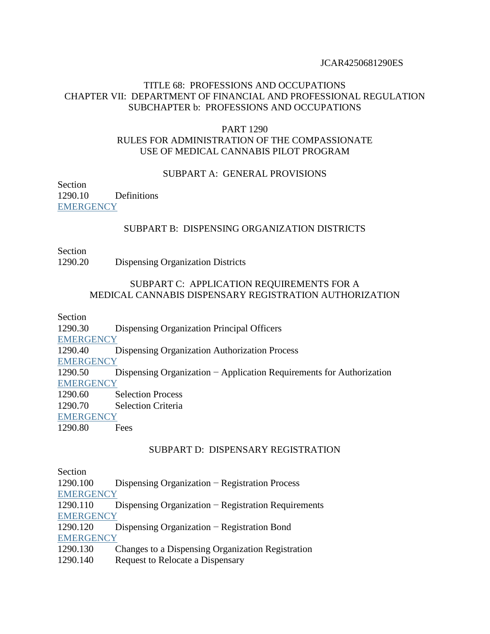## TITLE 68: PROFESSIONS AND OCCUPATIONS CHAPTER VII: DEPARTMENT OF FINANCIAL AND PROFESSIONAL REGULATION SUBCHAPTER b: PROFESSIONS AND OCCUPATIONS

## PART 1290 RULES FOR ADMINISTRATION OF THE COMPASSIONATE USE OF MEDICAL CANNABIS PILOT PROGRAM

#### SUBPART A: GENERAL PROVISIONS

Section 1290.10 Definitions **EMERGENCY** 

### SUBPART B: DISPENSING ORGANIZATION DISTRICTS

Section

1290.20 Dispensing Organization Districts

### SUBPART C: APPLICATION REQUIREMENTS FOR A MEDICAL CANNABIS DISPENSARY REGISTRATION AUTHORIZATION

Section

1290.30 Dispensing Organization Principal Officers

**EMERGENCY** 

1290.40 Dispensing Organization Authorization Process

**EMERGENCY** 

1290.50 Dispensing Organization − Application Requirements for Authorization **EMERGENCY** 

1290.60 Selection Process

1290.70 Selection Criteria

**EMERGENCY** 

1290.80 Fees

### SUBPART D: DISPENSARY REGISTRATION

Section

| 1290.100         | Dispensing Organization – Registration Process        |
|------------------|-------------------------------------------------------|
| <b>EMERGENCY</b> |                                                       |
| 1290.110         | Dispensing Organization $-$ Registration Requirements |
| <b>EMERGENCY</b> |                                                       |
| 1290.120         | Dispensing Organization $-$ Registration Bond         |
| <b>EMERGENCY</b> |                                                       |
| 1290.130         | Changes to a Dispensing Organization Registration     |
| 1290.140         | Request to Relocate a Dispensary                      |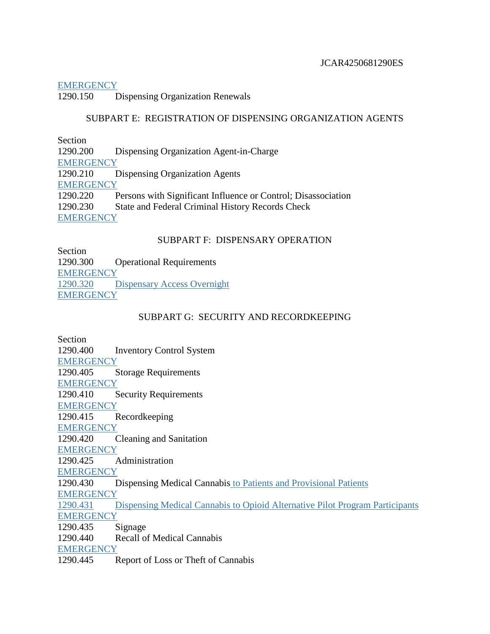### **EMERGENCY**

1290.150 Dispensing Organization Renewals

## SUBPART E: REGISTRATION OF DISPENSING ORGANIZATION AGENTS

Section

1290.200 Dispensing Organization Agent-in-Charge **EMERGENCY** 1290.210 Dispensing Organization Agents **EMERGENCY** 1290.220 Persons with Significant Influence or Control; Disassociation 1290.230 State and Federal Criminal History Records Check **EMERGENCY** 

# SUBPART F: DISPENSARY OPERATION

Section 1290.300 Operational Requirements EMERGENCY 1290.320 Dispensary Access Overnight **EMERGENCY** 

## SUBPART G: SECURITY AND RECORDKEEPING

Section 1290.400 Inventory Control System **EMERGENCY** 1290.405 Storage Requirements **EMERGENCY** 1290.410 Security Requirements **EMERGENCY** 1290.415 Recordkeeping **EMERGENCY** 1290.420 Cleaning and Sanitation **EMERGENCY** 1290.425 Administration **EMERGENCY** 1290.430 Dispensing Medical Cannabis to Patients and Provisional Patients **EMERGENCY** 1290.431 Dispensing Medical Cannabis to Opioid Alternative Pilot Program Participants **EMERGENCY** 1290.435 Signage 1290.440 Recall of Medical Cannabis **EMERGENCY** 1290.445 Report of Loss or Theft of Cannabis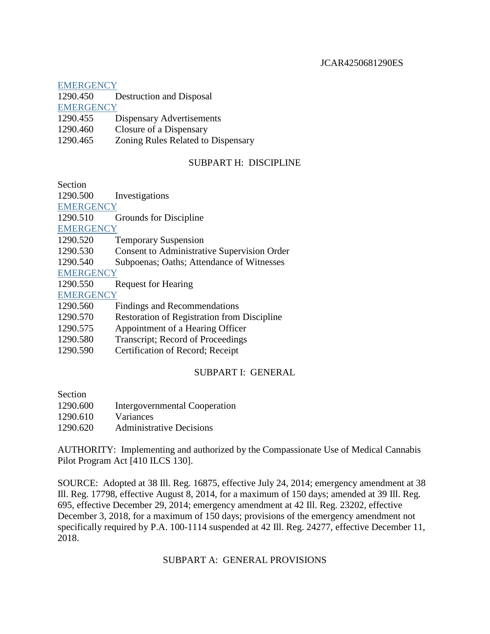### **EMERGENCY**

| 1290.450 | Destruction and Disposal |
|----------|--------------------------|
|----------|--------------------------|

**EMERGENCY** 

| 1290.455 |  | Dispensary Advertisements |
|----------|--|---------------------------|
|----------|--|---------------------------|

- 1290.460 Closure of a Dispensary
- 1290.465 Zoning Rules Related to Dispensary

## SUBPART H: DISCIPLINE

Section

| 1290.500         | Investigations                                     |
|------------------|----------------------------------------------------|
| <b>EMERGENCY</b> |                                                    |
| 1290.510         | Grounds for Discipline                             |
| <b>EMERGENCY</b> |                                                    |
| 1290.520         | <b>Temporary Suspension</b>                        |
| 1290.530         | <b>Consent to Administrative Supervision Order</b> |
| 1290.540         | Subpoenas; Oaths; Attendance of Witnesses          |
| <b>EMERGENCY</b> |                                                    |
| 1290.550         | <b>Request for Hearing</b>                         |
| <b>EMERGENCY</b> |                                                    |
| 1290.560         | Findings and Recommendations                       |
| 1290.570         | <b>Restoration of Registration from Discipline</b> |
| 1290.575         | Appointment of a Hearing Officer                   |
| 1290.580         | Transcript; Record of Proceedings                  |

1290.590 Certification of Record; Receipt

# SUBPART I: GENERAL

Section

| 1290.600 | Intergovernmental Cooperation   |
|----------|---------------------------------|
| 1290.610 | Variances                       |
| 1290.620 | <b>Administrative Decisions</b> |

AUTHORITY: Implementing and authorized by the Compassionate Use of Medical Cannabis Pilot Program Act [410 ILCS 130].

SOURCE: Adopted at 38 Ill. Reg. 16875, effective July 24, 2014; emergency amendment at 38 Ill. Reg. 17798, effective August 8, 2014, for a maximum of 150 days; amended at 39 Ill. Reg. 695, effective December 29, 2014; emergency amendment at 42 Ill. Reg. 23202, effective December 3, 2018, for a maximum of 150 days; provisions of the emergency amendment not specifically required by P.A. 100-1114 suspended at 42 Ill. Reg. 24277, effective December 11, 2018.

### SUBPART A: GENERAL PROVISIONS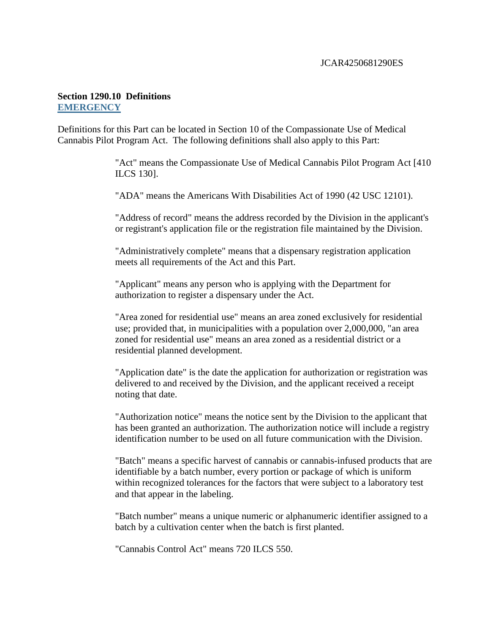## **Section 1290.10 Definitions EMERGENCY**

Definitions for this Part can be located in Section 10 of the Compassionate Use of Medical Cannabis Pilot Program Act. The following definitions shall also apply to this Part:

> "Act" means the Compassionate Use of Medical Cannabis Pilot Program Act [410 ILCS 130].

"ADA" means the Americans With Disabilities Act of 1990 (42 USC 12101).

"Address of record" means the address recorded by the Division in the applicant's or registrant's application file or the registration file maintained by the Division.

"Administratively complete" means that a dispensary registration application meets all requirements of the Act and this Part.

"Applicant" means any person who is applying with the Department for authorization to register a dispensary under the Act.

"Area zoned for residential use" means an area zoned exclusively for residential use; provided that, in municipalities with a population over 2,000,000, "an area zoned for residential use" means an area zoned as a residential district or a residential planned development.

"Application date" is the date the application for authorization or registration was delivered to and received by the Division, and the applicant received a receipt noting that date.

"Authorization notice" means the notice sent by the Division to the applicant that has been granted an authorization. The authorization notice will include a registry identification number to be used on all future communication with the Division.

"Batch" means a specific harvest of cannabis or cannabis-infused products that are identifiable by a batch number, every portion or package of which is uniform within recognized tolerances for the factors that were subject to a laboratory test and that appear in the labeling.

"Batch number" means a unique numeric or alphanumeric identifier assigned to a batch by a cultivation center when the batch is first planted.

"Cannabis Control Act" means 720 ILCS 550.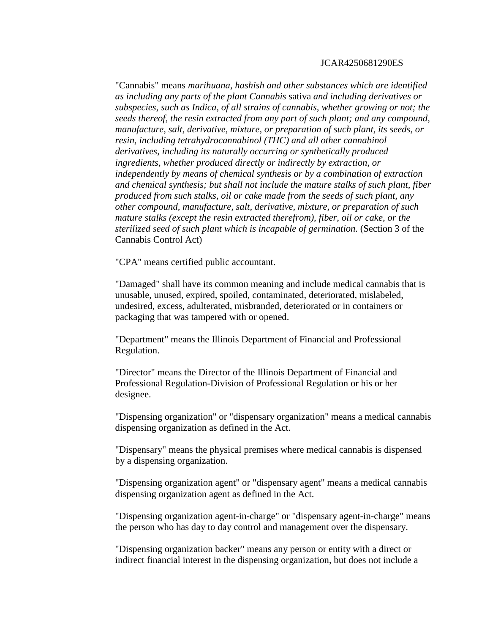"Cannabis" means *marihuana, hashish and other substances which are identified as including any parts of the plant Cannabis* sativa *and including derivatives or subspecies, such as Indica, of all strains of cannabis, whether growing or not; the seeds thereof, the resin extracted from any part of such plant; and any compound, manufacture, salt, derivative, mixture, or preparation of such plant, its seeds, or resin, including tetrahydrocannabinol (THC) and all other cannabinol derivatives, including its naturally occurring or synthetically produced ingredients, whether produced directly or indirectly by extraction, or independently by means of chemical synthesis or by a combination of extraction and chemical synthesis; but shall not include the mature stalks of such plant, fiber produced from such stalks, oil or cake made from the seeds of such plant, any other compound, manufacture, salt, derivative, mixture, or preparation of such mature stalks (except the resin extracted therefrom), fiber, oil or cake, or the sterilized seed of such plant which is incapable of germination.* (Section 3 of the Cannabis Control Act)

"CPA" means certified public accountant.

"Damaged" shall have its common meaning and include medical cannabis that is unusable, unused, expired, spoiled, contaminated, deteriorated, mislabeled, undesired, excess, adulterated, misbranded, deteriorated or in containers or packaging that was tampered with or opened.

"Department" means the Illinois Department of Financial and Professional Regulation.

"Director" means the Director of the Illinois Department of Financial and Professional Regulation-Division of Professional Regulation or his or her designee.

"Dispensing organization" or "dispensary organization" means a medical cannabis dispensing organization as defined in the Act.

"Dispensary" means the physical premises where medical cannabis is dispensed by a dispensing organization.

"Dispensing organization agent" or "dispensary agent" means a medical cannabis dispensing organization agent as defined in the Act.

"Dispensing organization agent-in-charge" or "dispensary agent-in-charge" means the person who has day to day control and management over the dispensary.

"Dispensing organization backer" means any person or entity with a direct or indirect financial interest in the dispensing organization, but does not include a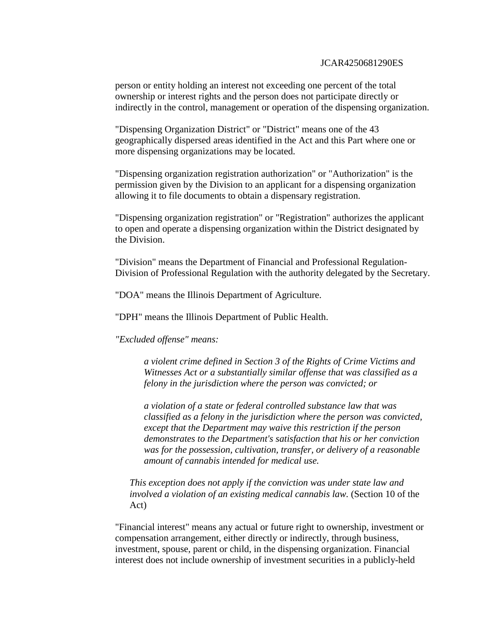person or entity holding an interest not exceeding one percent of the total ownership or interest rights and the person does not participate directly or indirectly in the control, management or operation of the dispensing organization.

"Dispensing Organization District" or "District" means one of the 43 geographically dispersed areas identified in the Act and this Part where one or more dispensing organizations may be located.

"Dispensing organization registration authorization" or "Authorization" is the permission given by the Division to an applicant for a dispensing organization allowing it to file documents to obtain a dispensary registration.

"Dispensing organization registration" or "Registration" authorizes the applicant to open and operate a dispensing organization within the District designated by the Division.

"Division" means the Department of Financial and Professional Regulation-Division of Professional Regulation with the authority delegated by the Secretary.

"DOA" means the Illinois Department of Agriculture.

"DPH" means the Illinois Department of Public Health.

*"Excluded offense" means:* 

*a violent crime defined in Section 3 of the Rights of Crime Victims and Witnesses Act or a substantially similar offense that was classified as a felony in the jurisdiction where the person was convicted; or* 

*a violation of a state or federal controlled substance law that was classified as a felony in the jurisdiction where the person was convicted, except that the Department may waive this restriction if the person demonstrates to the Department's satisfaction that his or her conviction was for the possession, cultivation, transfer, or delivery of a reasonable amount of cannabis intended for medical use.* 

*This exception does not apply if the conviction was under state law and involved a violation of an existing medical cannabis law.* (Section 10 of the Act)

"Financial interest" means any actual or future right to ownership, investment or compensation arrangement, either directly or indirectly, through business, investment, spouse, parent or child, in the dispensing organization. Financial interest does not include ownership of investment securities in a publicly-held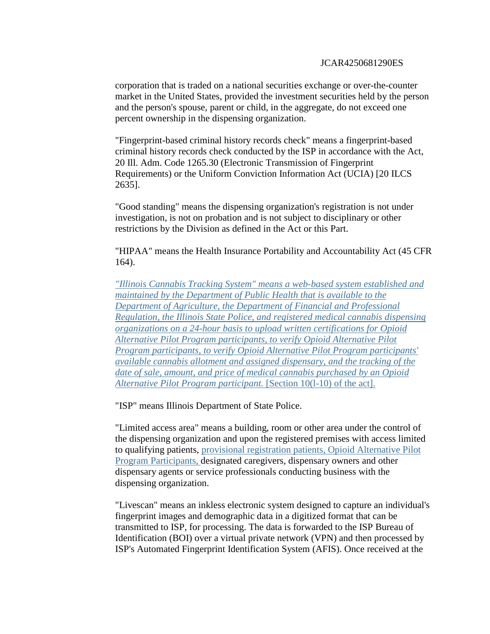corporation that is traded on a national securities exchange or over-the-counter market in the United States, provided the investment securities held by the person and the person's spouse, parent or child, in the aggregate, do not exceed one percent ownership in the dispensing organization.

"Fingerprint-based criminal history records check" means a fingerprint-based criminal history records check conducted by the ISP in accordance with the Act, 20 Ill. Adm. Code 1265.30 (Electronic Transmission of Fingerprint Requirements) or the Uniform Conviction Information Act (UCIA) [20 ILCS 2635].

"Good standing" means the dispensing organization's registration is not under investigation, is not on probation and is not subject to disciplinary or other restrictions by the Division as defined in the Act or this Part.

"HIPAA" means the Health Insurance Portability and Accountability Act (45 CFR 164).

*"Illinois Cannabis Tracking System" means a web-based system established and maintained by the Department of Public Health that is available to the Department of Agriculture, the Department of Financial and Professional Regulation, the Illinois State Police, and registered medical cannabis dispensing organizations on a 24-hour basis to upload written certifications for Opioid Alternative Pilot Program participants, to verify Opioid Alternative Pilot Program participants, to verify Opioid Alternative Pilot Program participants' available cannabis allotment and assigned dispensary, and the tracking of the date of sale, amount, and price of medical cannabis purchased by an Opioid Alternative Pilot Program participant.* [Section 10(l-10) of the act].

"ISP" means Illinois Department of State Police.

"Limited access area" means a building, room or other area under the control of the dispensing organization and upon the registered premises with access limited to qualifying patients, provisional registration patients, Opioid Alternative Pilot Program Participants, designated caregivers, dispensary owners and other dispensary agents or service professionals conducting business with the dispensing organization.

"Livescan" means an inkless electronic system designed to capture an individual's fingerprint images and demographic data in a digitized format that can be transmitted to ISP, for processing. The data is forwarded to the ISP Bureau of Identification (BOI) over a virtual private network (VPN) and then processed by ISP's Automated Fingerprint Identification System (AFIS). Once received at the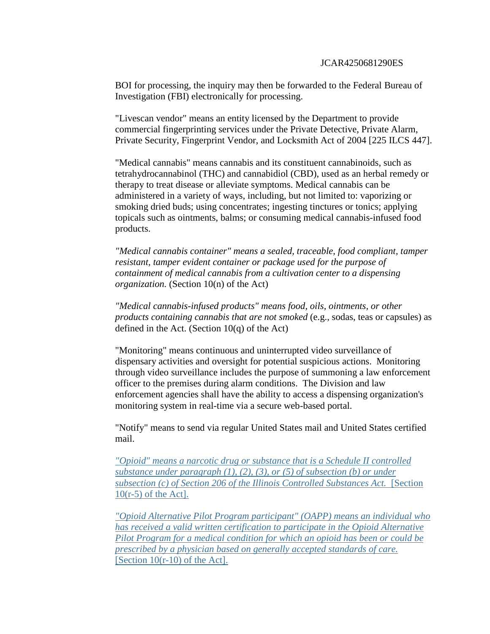BOI for processing, the inquiry may then be forwarded to the Federal Bureau of Investigation (FBI) electronically for processing.

"Livescan vendor" means an entity licensed by the Department to provide commercial fingerprinting services under the Private Detective, Private Alarm, Private Security, Fingerprint Vendor, and Locksmith Act of 2004 [225 ILCS 447].

"Medical cannabis" means cannabis and its constituent cannabinoids, such as tetrahydrocannabinol (THC) and cannabidiol (CBD), used as an herbal remedy or therapy to treat disease or alleviate symptoms. Medical cannabis can be administered in a variety of ways, including, but not limited to: vaporizing or smoking dried buds; using concentrates; ingesting tinctures or tonics; applying topicals such as ointments, balms; or consuming medical cannabis-infused food products.

*"Medical cannabis container" means a sealed, traceable, food compliant, tamper resistant, tamper evident container or package used for the purpose of containment of medical cannabis from a cultivation center to a dispensing organization.* (Section 10(n) of the Act)

*"Medical cannabis-infused products" means food, oils, ointments, or other products containing cannabis that are not smoked* (e.g., sodas, teas or capsules) as defined in the Act. (Section  $10(q)$  of the Act)

"Monitoring" means continuous and uninterrupted video surveillance of dispensary activities and oversight for potential suspicious actions. Monitoring through video surveillance includes the purpose of summoning a law enforcement officer to the premises during alarm conditions. The Division and law enforcement agencies shall have the ability to access a dispensing organization's monitoring system in real-time via a secure web-based portal.

"Notify" means to send via regular United States mail and United States certified mail.

*"Opioid" means a narcotic drug or substance that is a Schedule II controlled substance under paragraph (1), (2), (3), or (5) of subsection (b) or under subsection (c) of Section 206 of the Illinois Controlled Substances Act.* [Section 10(r-5) of the Act].

*"Opioid Alternative Pilot Program participant" (OAPP) means an individual who has received a valid written certification to participate in the Opioid Alternative Pilot Program for a medical condition for which an opioid has been or could be prescribed by a physician based on generally accepted standards of care.*  [Section  $10(r-10)$  of the Act].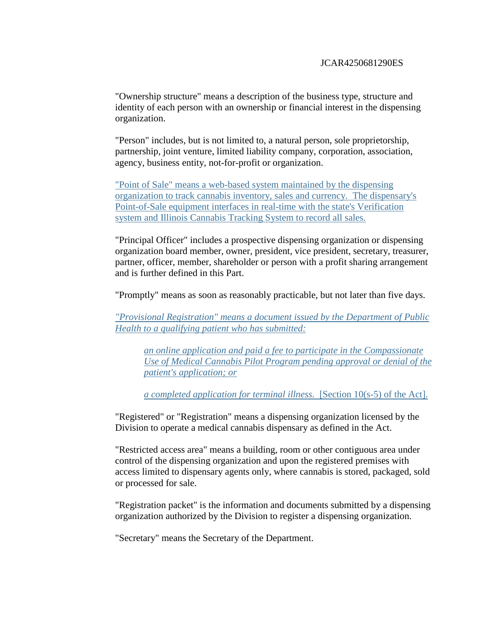"Ownership structure" means a description of the business type, structure and identity of each person with an ownership or financial interest in the dispensing organization.

"Person" includes, but is not limited to, a natural person, sole proprietorship, partnership, joint venture, limited liability company, corporation, association, agency, business entity, not-for-profit or organization.

"Point of Sale" means a web-based system maintained by the dispensing organization to track cannabis inventory, sales and currency. The dispensary's Point-of-Sale equipment interfaces in real-time with the state's Verification system and Illinois Cannabis Tracking System to record all sales.

"Principal Officer" includes a prospective dispensing organization or dispensing organization board member, owner, president, vice president, secretary, treasurer, partner, officer, member, shareholder or person with a profit sharing arrangement and is further defined in this Part.

"Promptly" means as soon as reasonably practicable, but not later than five days.

*"Provisional Registration" means a document issued by the Department of Public Health to a qualifying patient who has submitted:*

*an online application and paid a fee to participate in the Compassionate Use of Medical Cannabis Pilot Program pending approval or denial of the patient's application; or* 

*a completed application for terminal illness.* [Section 10(s-5) of the Act].

"Registered" or "Registration" means a dispensing organization licensed by the Division to operate a medical cannabis dispensary as defined in the Act.

"Restricted access area" means a building, room or other contiguous area under control of the dispensing organization and upon the registered premises with access limited to dispensary agents only, where cannabis is stored, packaged, sold or processed for sale.

"Registration packet" is the information and documents submitted by a dispensing organization authorized by the Division to register a dispensing organization.

"Secretary" means the Secretary of the Department.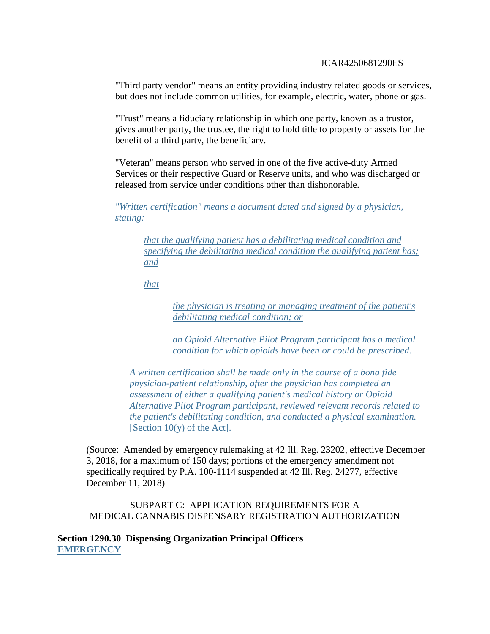"Third party vendor" means an entity providing industry related goods or services, but does not include common utilities, for example, electric, water, phone or gas.

"Trust" means a fiduciary relationship in which one party, known as a trustor, gives another party, the trustee, the right to hold title to property or assets for the benefit of a third party, the beneficiary.

"Veteran" means person who served in one of the five active-duty Armed Services or their respective Guard or Reserve units, and who was discharged or released from service under conditions other than dishonorable.

*"Written certification" means a document dated and signed by a physician, stating:*

*that the qualifying patient has a debilitating medical condition and specifying the debilitating medical condition the qualifying patient has; and* 

*that* 

*the physician is treating or managing treatment of the patient's debilitating medical condition; or* 

*an Opioid Alternative Pilot Program participant has a medical condition for which opioids have been or could be prescribed.* 

*A written certification shall be made only in the course of a bona fide physician-patient relationship, after the physician has completed an assessment of either a qualifying patient's medical history or Opioid Alternative Pilot Program participant, reviewed relevant records related to the patient's debilitating condition, and conducted a physical examination.*  [Section  $10(y)$  of the Act].

(Source: Amended by emergency rulemaking at 42 Ill. Reg. 23202, effective December 3, 2018, for a maximum of 150 days; portions of the emergency amendment not specifically required by P.A. 100-1114 suspended at 42 Ill. Reg. 24277, effective December 11, 2018)

SUBPART C: APPLICATION REQUIREMENTS FOR A MEDICAL CANNABIS DISPENSARY REGISTRATION AUTHORIZATION

**Section 1290.30 Dispensing Organization Principal Officers EMERGENCY**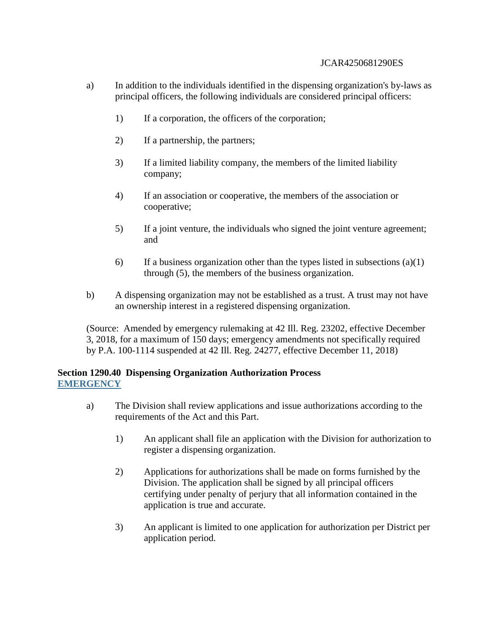- a) In addition to the individuals identified in the dispensing organization's by-laws as principal officers, the following individuals are considered principal officers:
	- 1) If a corporation, the officers of the corporation;
	- 2) If a partnership, the partners;
	- 3) If a limited liability company, the members of the limited liability company;
	- 4) If an association or cooperative, the members of the association or cooperative;
	- 5) If a joint venture, the individuals who signed the joint venture agreement; and
	- 6) If a business organization other than the types listed in subsections  $(a)(1)$ through (5), the members of the business organization.
- b) A dispensing organization may not be established as a trust. A trust may not have an ownership interest in a registered dispensing organization.

(Source: Amended by emergency rulemaking at 42 Ill. Reg. 23202, effective December 3, 2018, for a maximum of 150 days; emergency amendments not specifically required by P.A. 100-1114 suspended at 42 Ill. Reg. 24277, effective December 11, 2018)

### **Section 1290.40 Dispensing Organization Authorization Process EMERGENCY**

- a) The Division shall review applications and issue authorizations according to the requirements of the Act and this Part.
	- 1) An applicant shall file an application with the Division for authorization to register a dispensing organization.
	- 2) Applications for authorizations shall be made on forms furnished by the Division. The application shall be signed by all principal officers certifying under penalty of perjury that all information contained in the application is true and accurate.
	- 3) An applicant is limited to one application for authorization per District per application period.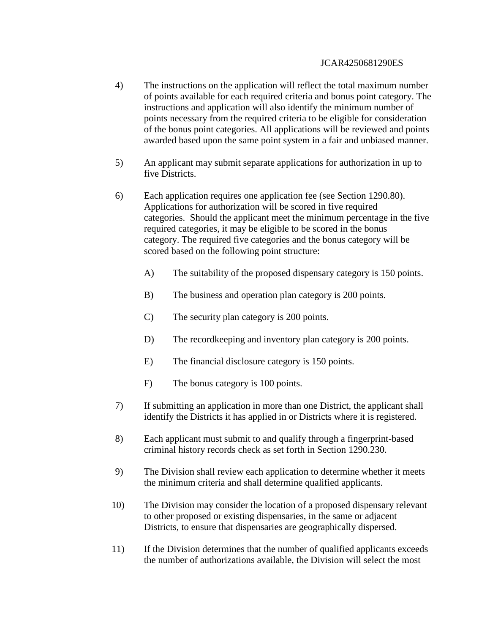- 4) The instructions on the application will reflect the total maximum number of points available for each required criteria and bonus point category. The instructions and application will also identify the minimum number of points necessary from the required criteria to be eligible for consideration of the bonus point categories. All applications will be reviewed and points awarded based upon the same point system in a fair and unbiased manner.
- 5) An applicant may submit separate applications for authorization in up to five Districts.
- 6) Each application requires one application fee (see Section 1290.80). Applications for authorization will be scored in five required categories. Should the applicant meet the minimum percentage in the five required categories, it may be eligible to be scored in the bonus category. The required five categories and the bonus category will be scored based on the following point structure:
	- A) The suitability of the proposed dispensary category is 150 points.
	- B) The business and operation plan category is 200 points.
	- C) The security plan category is 200 points.
	- D) The record keeping and inventory plan category is 200 points.
	- E) The financial disclosure category is 150 points.
	- F) The bonus category is 100 points.
- 7) If submitting an application in more than one District, the applicant shall identify the Districts it has applied in or Districts where it is registered.
- 8) Each applicant must submit to and qualify through a fingerprint-based criminal history records check as set forth in Section 1290.230.
- 9) The Division shall review each application to determine whether it meets the minimum criteria and shall determine qualified applicants.
- 10) The Division may consider the location of a proposed dispensary relevant to other proposed or existing dispensaries, in the same or adjacent Districts, to ensure that dispensaries are geographically dispersed.
- 11) If the Division determines that the number of qualified applicants exceeds the number of authorizations available, the Division will select the most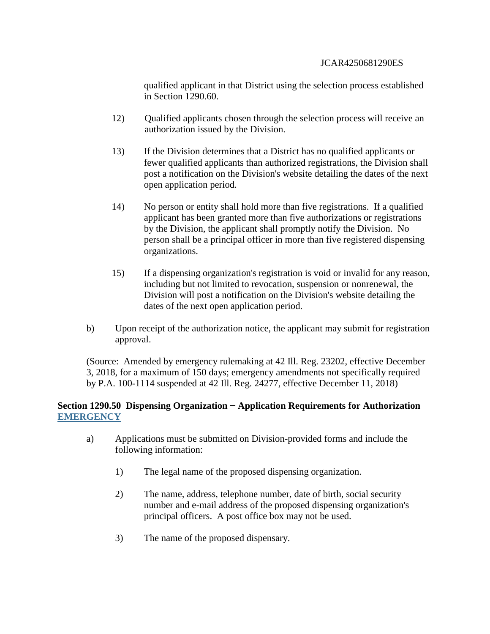qualified applicant in that District using the selection process established in Section 1290.60.

- 12) Qualified applicants chosen through the selection process will receive an authorization issued by the Division.
- 13) If the Division determines that a District has no qualified applicants or fewer qualified applicants than authorized registrations, the Division shall post a notification on the Division's website detailing the dates of the next open application period.
- 14) No person or entity shall hold more than five registrations. If a qualified applicant has been granted more than five authorizations or registrations by the Division, the applicant shall promptly notify the Division. No person shall be a principal officer in more than five registered dispensing organizations.
- 15) If a dispensing organization's registration is void or invalid for any reason, including but not limited to revocation, suspension or nonrenewal, the Division will post a notification on the Division's website detailing the dates of the next open application period.
- b) Upon receipt of the authorization notice, the applicant may submit for registration approval.

(Source: Amended by emergency rulemaking at 42 Ill. Reg. 23202, effective December 3, 2018, for a maximum of 150 days; emergency amendments not specifically required by P.A. 100-1114 suspended at 42 Ill. Reg. 24277, effective December 11, 2018)

## **Section 1290.50 Dispensing Organization − Application Requirements for Authorization EMERGENCY**

- a) Applications must be submitted on Division-provided forms and include the following information:
	- 1) The legal name of the proposed dispensing organization.
	- 2) The name, address, telephone number, date of birth, social security number and e-mail address of the proposed dispensing organization's principal officers. A post office box may not be used.
	- 3) The name of the proposed dispensary.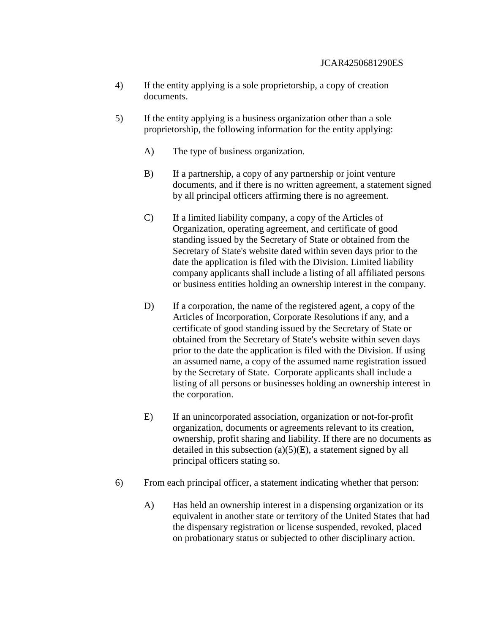- 4) If the entity applying is a sole proprietorship, a copy of creation documents.
- 5) If the entity applying is a business organization other than a sole proprietorship, the following information for the entity applying:
	- A) The type of business organization.
	- B) If a partnership, a copy of any partnership or joint venture documents, and if there is no written agreement, a statement signed by all principal officers affirming there is no agreement.
	- C) If a limited liability company, a copy of the Articles of Organization, operating agreement, and certificate of good standing issued by the Secretary of State or obtained from the Secretary of State's website dated within seven days prior to the date the application is filed with the Division. Limited liability company applicants shall include a listing of all affiliated persons or business entities holding an ownership interest in the company.
	- D) If a corporation, the name of the registered agent, a copy of the Articles of Incorporation, Corporate Resolutions if any, and a certificate of good standing issued by the Secretary of State or obtained from the Secretary of State's website within seven days prior to the date the application is filed with the Division. If using an assumed name, a copy of the assumed name registration issued by the Secretary of State. Corporate applicants shall include a listing of all persons or businesses holding an ownership interest in the corporation.
	- E) If an unincorporated association, organization or not-for-profit organization, documents or agreements relevant to its creation, ownership, profit sharing and liability. If there are no documents as detailed in this subsection  $(a)(5)(E)$ , a statement signed by all principal officers stating so.
- 6) From each principal officer, a statement indicating whether that person:
	- A) Has held an ownership interest in a dispensing organization or its equivalent in another state or territory of the United States that had the dispensary registration or license suspended, revoked, placed on probationary status or subjected to other disciplinary action.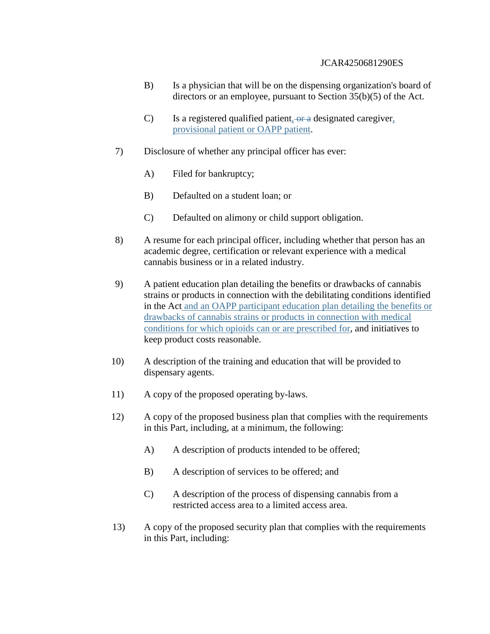- B) Is a physician that will be on the dispensing organization's board of directors or an employee, pursuant to Section 35(b)(5) of the Act.
- $C$ ) Is a registered qualified patient, or a designated caregiver, provisional patient or OAPP patient.
- 7) Disclosure of whether any principal officer has ever:
	- A) Filed for bankruptcy;
	- B) Defaulted on a student loan; or
	- C) Defaulted on alimony or child support obligation.
- 8) A resume for each principal officer, including whether that person has an academic degree, certification or relevant experience with a medical cannabis business or in a related industry.
- 9) A patient education plan detailing the benefits or drawbacks of cannabis strains or products in connection with the debilitating conditions identified in the Act and an OAPP participant education plan detailing the benefits or drawbacks of cannabis strains or products in connection with medical conditions for which opioids can or are prescribed for, and initiatives to keep product costs reasonable.
- 10) A description of the training and education that will be provided to dispensary agents.
- 11) A copy of the proposed operating by-laws.
- 12) A copy of the proposed business plan that complies with the requirements in this Part, including, at a minimum, the following:
	- A) A description of products intended to be offered;
	- B) A description of services to be offered; and
	- C) A description of the process of dispensing cannabis from a restricted access area to a limited access area.
- 13) A copy of the proposed security plan that complies with the requirements in this Part, including: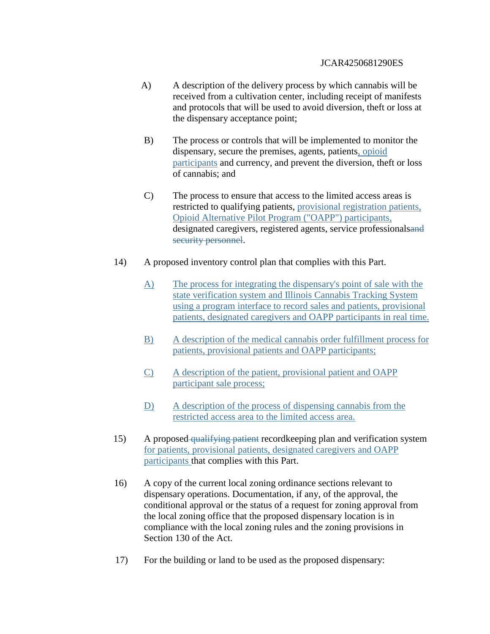- A) A description of the delivery process by which cannabis will be received from a cultivation center, including receipt of manifests and protocols that will be used to avoid diversion, theft or loss at the dispensary acceptance point;
- B) The process or controls that will be implemented to monitor the dispensary, secure the premises, agents, patients, opioid participants and currency, and prevent the diversion, theft or loss of cannabis; and
- C) The process to ensure that access to the limited access areas is restricted to qualifying patients, provisional registration patients, Opioid Alternative Pilot Program ("OAPP") participants, designated caregivers, registered agents, service professionalsand security personnel.
- 14) A proposed inventory control plan that complies with this Part.
	- A) The process for integrating the dispensary's point of sale with the state verification system and Illinois Cannabis Tracking System using a program interface to record sales and patients, provisional patients, designated caregivers and OAPP participants in real time.
	- B) A description of the medical cannabis order fulfillment process for patients, provisional patients and OAPP participants;
	- C) A description of the patient, provisional patient and OAPP participant sale process;
	- D) A description of the process of dispensing cannabis from the restricted access area to the limited access area.
- 15) A proposed qualifying patient recordkeeping plan and verification system for patients, provisional patients, designated caregivers and OAPP participants that complies with this Part.
- 16) A copy of the current local zoning ordinance sections relevant to dispensary operations. Documentation, if any, of the approval, the conditional approval or the status of a request for zoning approval from the local zoning office that the proposed dispensary location is in compliance with the local zoning rules and the zoning provisions in Section 130 of the Act.
- 17) For the building or land to be used as the proposed dispensary: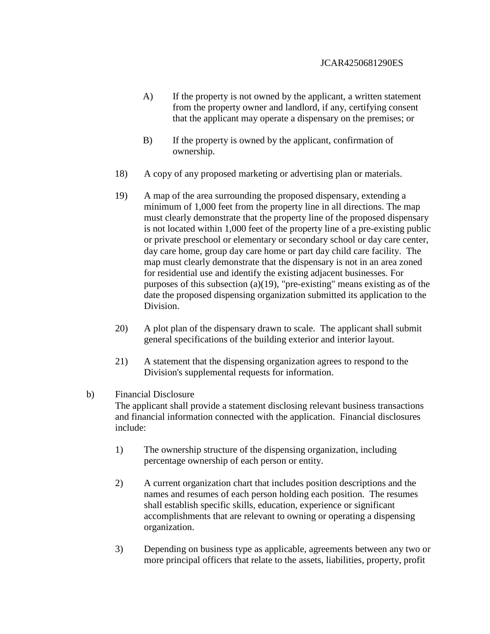- A) If the property is not owned by the applicant, a written statement from the property owner and landlord, if any, certifying consent that the applicant may operate a dispensary on the premises; or
- B) If the property is owned by the applicant, confirmation of ownership.
- 18) A copy of any proposed marketing or advertising plan or materials.
- 19) A map of the area surrounding the proposed dispensary, extending a minimum of 1,000 feet from the property line in all directions. The map must clearly demonstrate that the property line of the proposed dispensary is not located within 1,000 feet of the property line of a pre-existing public or private preschool or elementary or secondary school or day care center, day care home, group day care home or part day child care facility. The map must clearly demonstrate that the dispensary is not in an area zoned for residential use and identify the existing adjacent businesses. For purposes of this subsection (a)(19), "pre-existing" means existing as of the date the proposed dispensing organization submitted its application to the Division.
- 20) A plot plan of the dispensary drawn to scale. The applicant shall submit general specifications of the building exterior and interior layout.
- 21) A statement that the dispensing organization agrees to respond to the Division's supplemental requests for information.

### b) Financial Disclosure

The applicant shall provide a statement disclosing relevant business transactions and financial information connected with the application. Financial disclosures include:

- 1) The ownership structure of the dispensing organization, including percentage ownership of each person or entity.
- 2) A current organization chart that includes position descriptions and the names and resumes of each person holding each position. The resumes shall establish specific skills, education, experience or significant accomplishments that are relevant to owning or operating a dispensing organization.
- 3) Depending on business type as applicable, agreements between any two or more principal officers that relate to the assets, liabilities, property, profit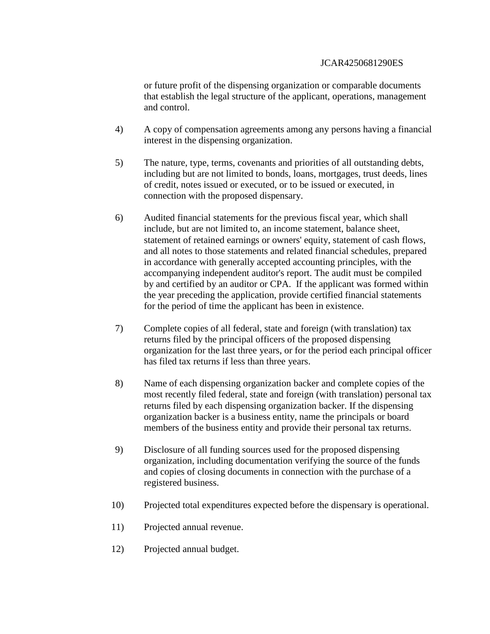or future profit of the dispensing organization or comparable documents that establish the legal structure of the applicant, operations, management and control.

- 4) A copy of compensation agreements among any persons having a financial interest in the dispensing organization.
- 5) The nature, type, terms, covenants and priorities of all outstanding debts, including but are not limited to bonds, loans, mortgages, trust deeds, lines of credit, notes issued or executed, or to be issued or executed, in connection with the proposed dispensary.
- 6) Audited financial statements for the previous fiscal year, which shall include, but are not limited to, an income statement, balance sheet, statement of retained earnings or owners' equity, statement of cash flows, and all notes to those statements and related financial schedules, prepared in accordance with generally accepted accounting principles, with the accompanying independent auditor's report. The audit must be compiled by and certified by an auditor or CPA. If the applicant was formed within the year preceding the application, provide certified financial statements for the period of time the applicant has been in existence.
- 7) Complete copies of all federal, state and foreign (with translation) tax returns filed by the principal officers of the proposed dispensing organization for the last three years, or for the period each principal officer has filed tax returns if less than three years.
- 8) Name of each dispensing organization backer and complete copies of the most recently filed federal, state and foreign (with translation) personal tax returns filed by each dispensing organization backer. If the dispensing organization backer is a business entity, name the principals or board members of the business entity and provide their personal tax returns.
- 9) Disclosure of all funding sources used for the proposed dispensing organization, including documentation verifying the source of the funds and copies of closing documents in connection with the purchase of a registered business.
- 10) Projected total expenditures expected before the dispensary is operational.
- 11) Projected annual revenue.
- 12) Projected annual budget.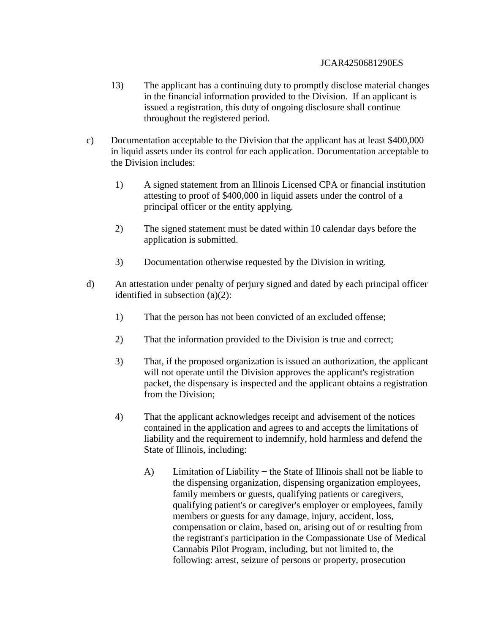- 13) The applicant has a continuing duty to promptly disclose material changes in the financial information provided to the Division. If an applicant is issued a registration, this duty of ongoing disclosure shall continue throughout the registered period.
- c) Documentation acceptable to the Division that the applicant has at least \$400,000 in liquid assets under its control for each application. Documentation acceptable to the Division includes:
	- 1) A signed statement from an Illinois Licensed CPA or financial institution attesting to proof of \$400,000 in liquid assets under the control of a principal officer or the entity applying.
	- 2) The signed statement must be dated within 10 calendar days before the application is submitted.
	- 3) Documentation otherwise requested by the Division in writing.
- d) An attestation under penalty of perjury signed and dated by each principal officer identified in subsection (a)(2):
	- 1) That the person has not been convicted of an excluded offense;
	- 2) That the information provided to the Division is true and correct;
	- 3) That, if the proposed organization is issued an authorization, the applicant will not operate until the Division approves the applicant's registration packet, the dispensary is inspected and the applicant obtains a registration from the Division;
	- 4) That the applicant acknowledges receipt and advisement of the notices contained in the application and agrees to and accepts the limitations of liability and the requirement to indemnify, hold harmless and defend the State of Illinois, including:
		- A) Limitation of Liability − the State of Illinois shall not be liable to the dispensing organization, dispensing organization employees, family members or guests, qualifying patients or caregivers, qualifying patient's or caregiver's employer or employees, family members or guests for any damage, injury, accident, loss, compensation or claim, based on, arising out of or resulting from the registrant's participation in the Compassionate Use of Medical Cannabis Pilot Program, including, but not limited to, the following: arrest, seizure of persons or property, prosecution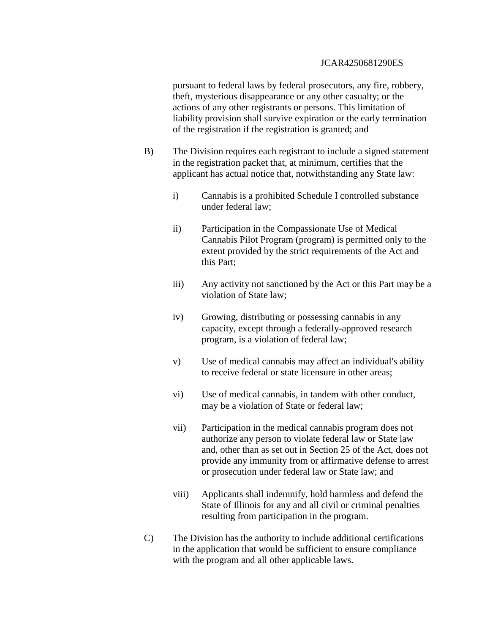pursuant to federal laws by federal prosecutors, any fire, robbery, theft, mysterious disappearance or any other casualty; or the actions of any other registrants or persons. This limitation of liability provision shall survive expiration or the early termination of the registration if the registration is granted; and

- B) The Division requires each registrant to include a signed statement in the registration packet that, at minimum, certifies that the applicant has actual notice that, notwithstanding any State law:
	- i) Cannabis is a prohibited Schedule I controlled substance under federal law;
	- ii) Participation in the Compassionate Use of Medical Cannabis Pilot Program (program) is permitted only to the extent provided by the strict requirements of the Act and this Part;
	- iii) Any activity not sanctioned by the Act or this Part may be a violation of State law;
	- iv) Growing, distributing or possessing cannabis in any capacity, except through a federally-approved research program, is a violation of federal law;
	- v) Use of medical cannabis may affect an individual's ability to receive federal or state licensure in other areas;
	- vi) Use of medical cannabis, in tandem with other conduct, may be a violation of State or federal law;
	- vii) Participation in the medical cannabis program does not authorize any person to violate federal law or State law and, other than as set out in Section 25 of the Act, does not provide any immunity from or affirmative defense to arrest or prosecution under federal law or State law; and
	- viii) Applicants shall indemnify, hold harmless and defend the State of Illinois for any and all civil or criminal penalties resulting from participation in the program.
- C) The Division has the authority to include additional certifications in the application that would be sufficient to ensure compliance with the program and all other applicable laws.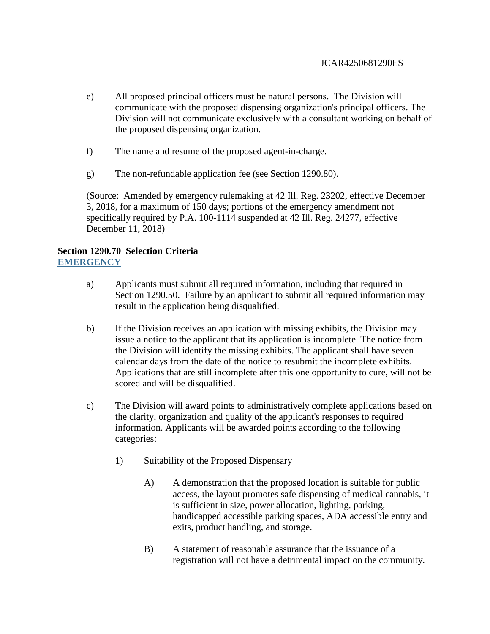- e) All proposed principal officers must be natural persons. The Division will communicate with the proposed dispensing organization's principal officers. The Division will not communicate exclusively with a consultant working on behalf of the proposed dispensing organization.
- f) The name and resume of the proposed agent-in-charge.
- g) The non-refundable application fee (see Section 1290.80).

(Source: Amended by emergency rulemaking at 42 Ill. Reg. 23202, effective December 3, 2018, for a maximum of 150 days; portions of the emergency amendment not specifically required by P.A. 100-1114 suspended at 42 Ill. Reg. 24277, effective December 11, 2018)

## **Section 1290.70 Selection Criteria EMERGENCY**

- a) Applicants must submit all required information, including that required in Section 1290.50. Failure by an applicant to submit all required information may result in the application being disqualified.
- b) If the Division receives an application with missing exhibits, the Division may issue a notice to the applicant that its application is incomplete. The notice from the Division will identify the missing exhibits. The applicant shall have seven calendar days from the date of the notice to resubmit the incomplete exhibits. Applications that are still incomplete after this one opportunity to cure, will not be scored and will be disqualified.
- c) The Division will award points to administratively complete applications based on the clarity, organization and quality of the applicant's responses to required information. Applicants will be awarded points according to the following categories:
	- 1) Suitability of the Proposed Dispensary
		- A) A demonstration that the proposed location is suitable for public access, the layout promotes safe dispensing of medical cannabis, it is sufficient in size, power allocation, lighting, parking, handicapped accessible parking spaces, ADA accessible entry and exits, product handling, and storage.
		- B) A statement of reasonable assurance that the issuance of a registration will not have a detrimental impact on the community.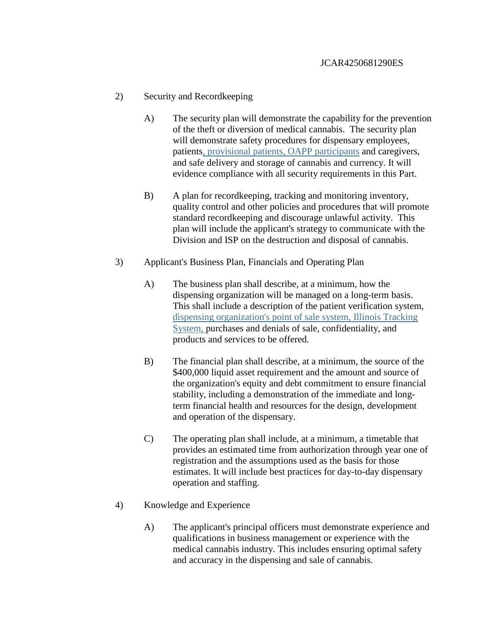## 2) Security and Recordkeeping

- A) The security plan will demonstrate the capability for the prevention of the theft or diversion of medical cannabis. The security plan will demonstrate safety procedures for dispensary employees, patients, provisional patients, OAPP participants and caregivers, and safe delivery and storage of cannabis and currency. It will evidence compliance with all security requirements in this Part.
- B) A plan for recordkeeping, tracking and monitoring inventory, quality control and other policies and procedures that will promote standard recordkeeping and discourage unlawful activity. This plan will include the applicant's strategy to communicate with the Division and ISP on the destruction and disposal of cannabis.
- 3) Applicant's Business Plan, Financials and Operating Plan
	- A) The business plan shall describe, at a minimum, how the dispensing organization will be managed on a long-term basis. This shall include a description of the patient verification system, dispensing organization's point of sale system, Illinois Tracking System, purchases and denials of sale, confidentiality, and products and services to be offered.
	- B) The financial plan shall describe, at a minimum, the source of the \$400,000 liquid asset requirement and the amount and source of the organization's equity and debt commitment to ensure financial stability, including a demonstration of the immediate and longterm financial health and resources for the design, development and operation of the dispensary.
	- C) The operating plan shall include, at a minimum, a timetable that provides an estimated time from authorization through year one of registration and the assumptions used as the basis for those estimates. It will include best practices for day-to-day dispensary operation and staffing.
- 4) Knowledge and Experience
	- A) The applicant's principal officers must demonstrate experience and qualifications in business management or experience with the medical cannabis industry. This includes ensuring optimal safety and accuracy in the dispensing and sale of cannabis.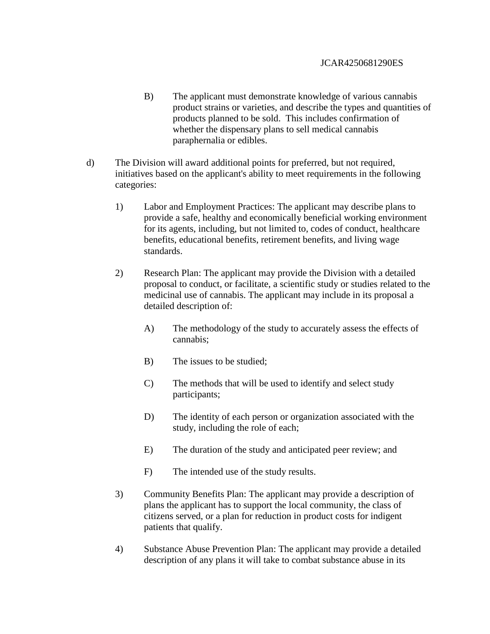- B) The applicant must demonstrate knowledge of various cannabis product strains or varieties, and describe the types and quantities of products planned to be sold. This includes confirmation of whether the dispensary plans to sell medical cannabis paraphernalia or edibles.
- d) The Division will award additional points for preferred, but not required, initiatives based on the applicant's ability to meet requirements in the following categories:
	- 1) Labor and Employment Practices: The applicant may describe plans to provide a safe, healthy and economically beneficial working environment for its agents, including, but not limited to, codes of conduct, healthcare benefits, educational benefits, retirement benefits, and living wage standards.
	- 2) Research Plan: The applicant may provide the Division with a detailed proposal to conduct, or facilitate, a scientific study or studies related to the medicinal use of cannabis. The applicant may include in its proposal a detailed description of:
		- A) The methodology of the study to accurately assess the effects of cannabis;
		- B) The issues to be studied;
		- C) The methods that will be used to identify and select study participants;
		- D) The identity of each person or organization associated with the study, including the role of each;
		- E) The duration of the study and anticipated peer review; and
		- F) The intended use of the study results.
	- 3) Community Benefits Plan: The applicant may provide a description of plans the applicant has to support the local community, the class of citizens served, or a plan for reduction in product costs for indigent patients that qualify.
	- 4) Substance Abuse Prevention Plan: The applicant may provide a detailed description of any plans it will take to combat substance abuse in its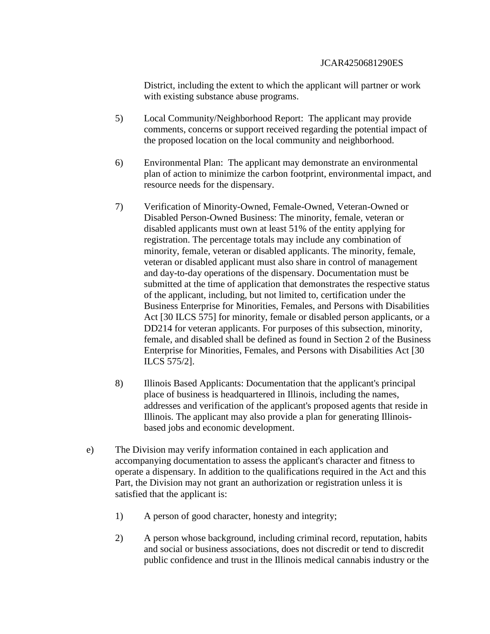District, including the extent to which the applicant will partner or work with existing substance abuse programs.

- 5) Local Community/Neighborhood Report: The applicant may provide comments, concerns or support received regarding the potential impact of the proposed location on the local community and neighborhood.
- 6) Environmental Plan: The applicant may demonstrate an environmental plan of action to minimize the carbon footprint, environmental impact, and resource needs for the dispensary.
- 7) Verification of Minority-Owned, Female-Owned, Veteran-Owned or Disabled Person-Owned Business: The minority, female, veteran or disabled applicants must own at least 51% of the entity applying for registration. The percentage totals may include any combination of minority, female, veteran or disabled applicants. The minority, female, veteran or disabled applicant must also share in control of management and day-to-day operations of the dispensary. Documentation must be submitted at the time of application that demonstrates the respective status of the applicant, including, but not limited to, certification under the Business Enterprise for Minorities, Females, and Persons with Disabilities Act [30 ILCS 575] for minority, female or disabled person applicants, or a DD214 for veteran applicants. For purposes of this subsection, minority, female, and disabled shall be defined as found in Section 2 of the Business Enterprise for Minorities, Females, and Persons with Disabilities Act [30 ILCS 575/2].
- 8) Illinois Based Applicants: Documentation that the applicant's principal place of business is headquartered in Illinois, including the names, addresses and verification of the applicant's proposed agents that reside in Illinois. The applicant may also provide a plan for generating Illinoisbased jobs and economic development.
- e) The Division may verify information contained in each application and accompanying documentation to assess the applicant's character and fitness to operate a dispensary. In addition to the qualifications required in the Act and this Part, the Division may not grant an authorization or registration unless it is satisfied that the applicant is:
	- 1) A person of good character, honesty and integrity;
	- 2) A person whose background, including criminal record, reputation, habits and social or business associations, does not discredit or tend to discredit public confidence and trust in the Illinois medical cannabis industry or the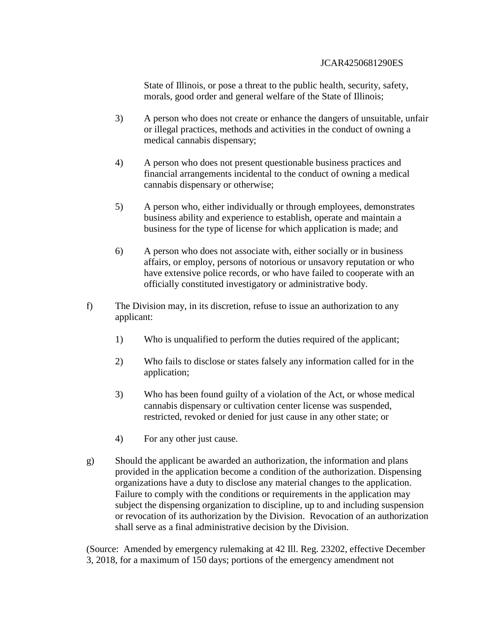State of Illinois, or pose a threat to the public health, security, safety, morals, good order and general welfare of the State of Illinois;

- 3) A person who does not create or enhance the dangers of unsuitable, unfair or illegal practices, methods and activities in the conduct of owning a medical cannabis dispensary;
- 4) A person who does not present questionable business practices and financial arrangements incidental to the conduct of owning a medical cannabis dispensary or otherwise;
- 5) A person who, either individually or through employees, demonstrates business ability and experience to establish, operate and maintain a business for the type of license for which application is made; and
- 6) A person who does not associate with, either socially or in business affairs, or employ, persons of notorious or unsavory reputation or who have extensive police records, or who have failed to cooperate with an officially constituted investigatory or administrative body.
- f) The Division may, in its discretion, refuse to issue an authorization to any applicant:
	- 1) Who is unqualified to perform the duties required of the applicant;
	- 2) Who fails to disclose or states falsely any information called for in the application;
	- 3) Who has been found guilty of a violation of the Act, or whose medical cannabis dispensary or cultivation center license was suspended, restricted, revoked or denied for just cause in any other state; or
	- 4) For any other just cause.
- g) Should the applicant be awarded an authorization, the information and plans provided in the application become a condition of the authorization. Dispensing organizations have a duty to disclose any material changes to the application. Failure to comply with the conditions or requirements in the application may subject the dispensing organization to discipline, up to and including suspension or revocation of its authorization by the Division. Revocation of an authorization shall serve as a final administrative decision by the Division.

(Source: Amended by emergency rulemaking at 42 Ill. Reg. 23202, effective December 3, 2018, for a maximum of 150 days; portions of the emergency amendment not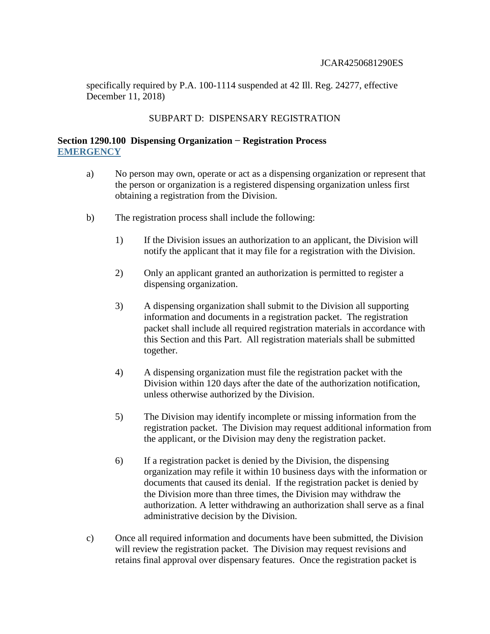specifically required by P.A. 100-1114 suspended at 42 Ill. Reg. 24277, effective December 11, 2018)

### SUBPART D: DISPENSARY REGISTRATION

## **Section 1290.100 Dispensing Organization − Registration Process EMERGENCY**

- a) No person may own, operate or act as a dispensing organization or represent that the person or organization is a registered dispensing organization unless first obtaining a registration from the Division.
- b) The registration process shall include the following:
	- 1) If the Division issues an authorization to an applicant, the Division will notify the applicant that it may file for a registration with the Division.
	- 2) Only an applicant granted an authorization is permitted to register a dispensing organization.
	- 3) A dispensing organization shall submit to the Division all supporting information and documents in a registration packet. The registration packet shall include all required registration materials in accordance with this Section and this Part. All registration materials shall be submitted together.
	- 4) A dispensing organization must file the registration packet with the Division within 120 days after the date of the authorization notification, unless otherwise authorized by the Division.
	- 5) The Division may identify incomplete or missing information from the registration packet. The Division may request additional information from the applicant, or the Division may deny the registration packet.
	- 6) If a registration packet is denied by the Division, the dispensing organization may refile it within 10 business days with the information or documents that caused its denial. If the registration packet is denied by the Division more than three times, the Division may withdraw the authorization. A letter withdrawing an authorization shall serve as a final administrative decision by the Division.
- c) Once all required information and documents have been submitted, the Division will review the registration packet. The Division may request revisions and retains final approval over dispensary features. Once the registration packet is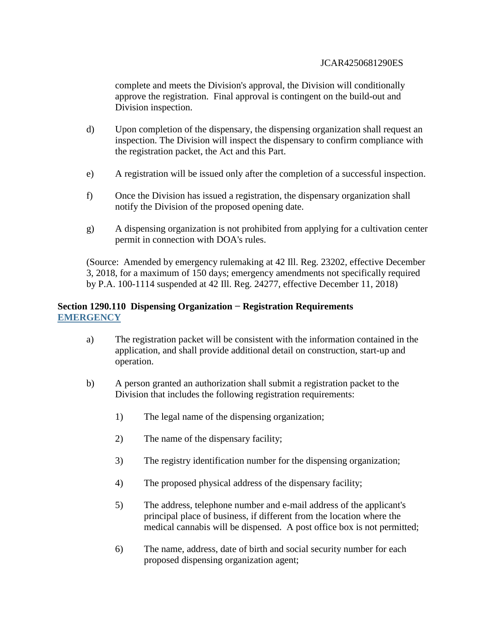complete and meets the Division's approval, the Division will conditionally approve the registration. Final approval is contingent on the build-out and Division inspection.

- d) Upon completion of the dispensary, the dispensing organization shall request an inspection. The Division will inspect the dispensary to confirm compliance with the registration packet, the Act and this Part.
- e) A registration will be issued only after the completion of a successful inspection.
- f) Once the Division has issued a registration, the dispensary organization shall notify the Division of the proposed opening date.
- g) A dispensing organization is not prohibited from applying for a cultivation center permit in connection with DOA's rules.

(Source: Amended by emergency rulemaking at 42 Ill. Reg. 23202, effective December 3, 2018, for a maximum of 150 days; emergency amendments not specifically required by P.A. 100-1114 suspended at 42 Ill. Reg. 24277, effective December 11, 2018)

## **Section 1290.110 Dispensing Organization − Registration Requirements EMERGENCY**

- a) The registration packet will be consistent with the information contained in the application, and shall provide additional detail on construction, start-up and operation.
- b) A person granted an authorization shall submit a registration packet to the Division that includes the following registration requirements:
	- 1) The legal name of the dispensing organization;
	- 2) The name of the dispensary facility;
	- 3) The registry identification number for the dispensing organization;
	- 4) The proposed physical address of the dispensary facility;
	- 5) The address, telephone number and e-mail address of the applicant's principal place of business, if different from the location where the medical cannabis will be dispensed. A post office box is not permitted;
	- 6) The name, address, date of birth and social security number for each proposed dispensing organization agent;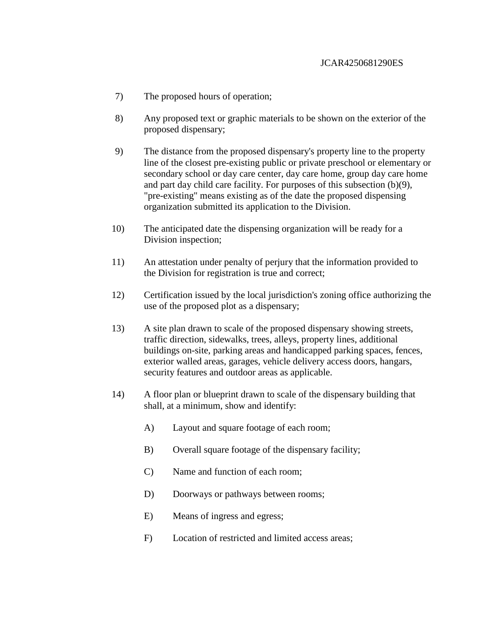- 7) The proposed hours of operation;
- 8) Any proposed text or graphic materials to be shown on the exterior of the proposed dispensary;
- 9) The distance from the proposed dispensary's property line to the property line of the closest pre-existing public or private preschool or elementary or secondary school or day care center, day care home, group day care home and part day child care facility. For purposes of this subsection (b)(9), "pre-existing" means existing as of the date the proposed dispensing organization submitted its application to the Division.
- 10) The anticipated date the dispensing organization will be ready for a Division inspection;
- 11) An attestation under penalty of perjury that the information provided to the Division for registration is true and correct;
- 12) Certification issued by the local jurisdiction's zoning office authorizing the use of the proposed plot as a dispensary;
- 13) A site plan drawn to scale of the proposed dispensary showing streets, traffic direction, sidewalks, trees, alleys, property lines, additional buildings on-site, parking areas and handicapped parking spaces, fences, exterior walled areas, garages, vehicle delivery access doors, hangars, security features and outdoor areas as applicable.
- 14) A floor plan or blueprint drawn to scale of the dispensary building that shall, at a minimum, show and identify:
	- A) Layout and square footage of each room;
	- B) Overall square footage of the dispensary facility;
	- C) Name and function of each room;
	- D) Doorways or pathways between rooms;
	- E) Means of ingress and egress;
	- F) Location of restricted and limited access areas;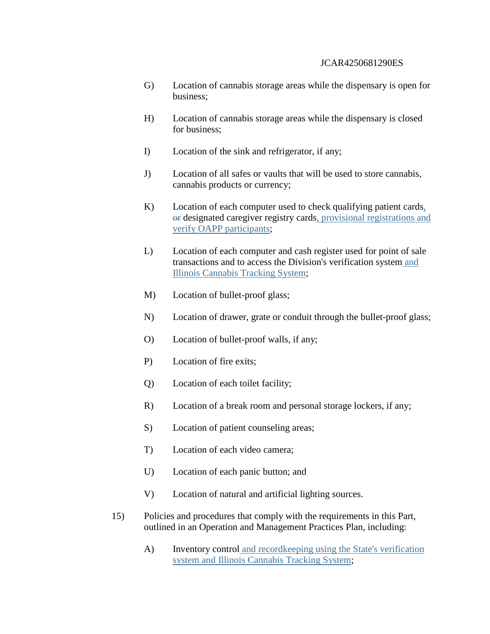- G) Location of cannabis storage areas while the dispensary is open for business;
- H) Location of cannabis storage areas while the dispensary is closed for business;
- I) Location of the sink and refrigerator, if any;
- J) Location of all safes or vaults that will be used to store cannabis, cannabis products or currency;
- K) Location of each computer used to check qualifying patient cards, or designated caregiver registry cards, provisional registrations and verify OAPP participants;
- L) Location of each computer and cash register used for point of sale transactions and to access the Division's verification system and Illinois Cannabis Tracking System;
- M) Location of bullet-proof glass;
- N) Location of drawer, grate or conduit through the bullet-proof glass;
- O) Location of bullet-proof walls, if any;
- P) Location of fire exits;
- Q) Location of each toilet facility;
- R) Location of a break room and personal storage lockers, if any;
- S) Location of patient counseling areas;
- T) Location of each video camera;
- U) Location of each panic button; and
- V) Location of natural and artificial lighting sources.
- 15) Policies and procedures that comply with the requirements in this Part, outlined in an Operation and Management Practices Plan, including:
	- A) Inventory control and record keeping using the State's verification system and Illinois Cannabis Tracking System;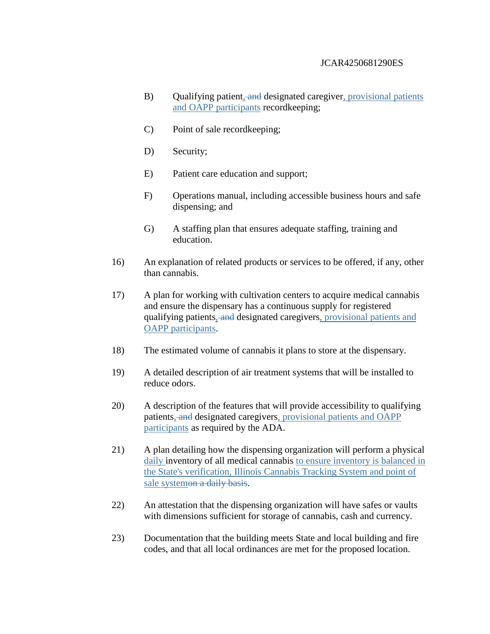- B) Qualifying patient, and designated caregiver, provisional patients and OAPP participants recordkeeping;
- C) Point of sale recordkeeping;
- D) Security;
- E) Patient care education and support;
- F) Operations manual, including accessible business hours and safe dispensing; and
- G) A staffing plan that ensures adequate staffing, training and education.
- 16) An explanation of related products or services to be offered, if any, other than cannabis.
- 17) A plan for working with cultivation centers to acquire medical cannabis and ensure the dispensary has a continuous supply for registered qualifying patients, and designated caregivers, provisional patients and OAPP participants.
- 18) The estimated volume of cannabis it plans to store at the dispensary.
- 19) A detailed description of air treatment systems that will be installed to reduce odors.
- 20) A description of the features that will provide accessibility to qualifying patients, and designated caregivers, provisional patients and OAPP participants as required by the ADA.
- 21) A plan detailing how the dispensing organization will perform a physical daily inventory of all medical cannabis to ensure inventory is balanced in the State's verification, Illinois Cannabis Tracking System and point of sale systemon a daily basis.
- 22) An attestation that the dispensing organization will have safes or vaults with dimensions sufficient for storage of cannabis, cash and currency.
- 23) Documentation that the building meets State and local building and fire codes, and that all local ordinances are met for the proposed location.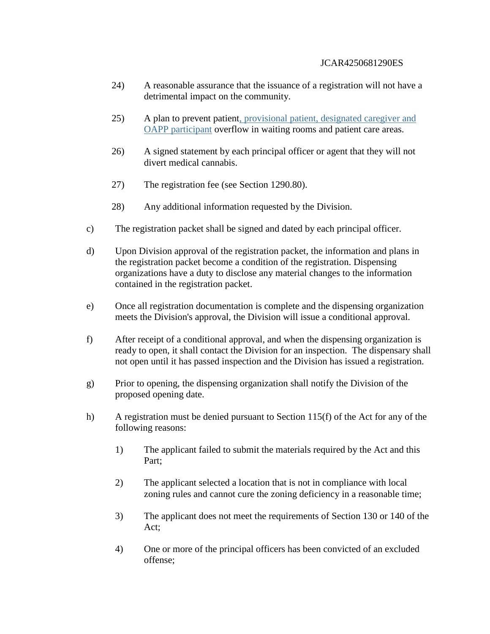- 24) A reasonable assurance that the issuance of a registration will not have a detrimental impact on the community.
- 25) A plan to prevent patient, provisional patient, designated caregiver and OAPP participant overflow in waiting rooms and patient care areas.
- 26) A signed statement by each principal officer or agent that they will not divert medical cannabis.
- 27) The registration fee (see Section 1290.80).
- 28) Any additional information requested by the Division.
- c) The registration packet shall be signed and dated by each principal officer.
- d) Upon Division approval of the registration packet, the information and plans in the registration packet become a condition of the registration. Dispensing organizations have a duty to disclose any material changes to the information contained in the registration packet.
- e) Once all registration documentation is complete and the dispensing organization meets the Division's approval, the Division will issue a conditional approval.
- f) After receipt of a conditional approval, and when the dispensing organization is ready to open, it shall contact the Division for an inspection. The dispensary shall not open until it has passed inspection and the Division has issued a registration.
- g) Prior to opening, the dispensing organization shall notify the Division of the proposed opening date.
- h) A registration must be denied pursuant to Section 115(f) of the Act for any of the following reasons:
	- 1) The applicant failed to submit the materials required by the Act and this Part;
	- 2) The applicant selected a location that is not in compliance with local zoning rules and cannot cure the zoning deficiency in a reasonable time;
	- 3) The applicant does not meet the requirements of Section 130 or 140 of the Act;
	- 4) One or more of the principal officers has been convicted of an excluded offense;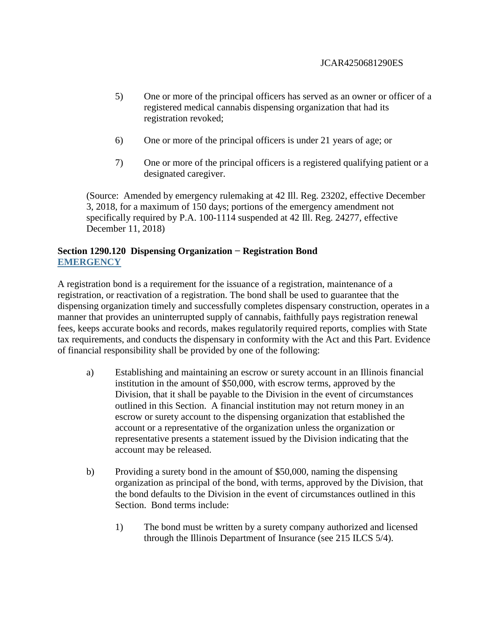- 5) One or more of the principal officers has served as an owner or officer of a registered medical cannabis dispensing organization that had its registration revoked;
- 6) One or more of the principal officers is under 21 years of age; or
- 7) One or more of the principal officers is a registered qualifying patient or a designated caregiver.

(Source: Amended by emergency rulemaking at 42 Ill. Reg. 23202, effective December 3, 2018, for a maximum of 150 days; portions of the emergency amendment not specifically required by P.A. 100-1114 suspended at 42 Ill. Reg. 24277, effective December 11, 2018)

# **Section 1290.120 Dispensing Organization − Registration Bond EMERGENCY**

A registration bond is a requirement for the issuance of a registration, maintenance of a registration, or reactivation of a registration. The bond shall be used to guarantee that the dispensing organization timely and successfully completes dispensary construction, operates in a manner that provides an uninterrupted supply of cannabis, faithfully pays registration renewal fees, keeps accurate books and records, makes regulatorily required reports, complies with State tax requirements, and conducts the dispensary in conformity with the Act and this Part. Evidence of financial responsibility shall be provided by one of the following:

- a) Establishing and maintaining an escrow or surety account in an Illinois financial institution in the amount of \$50,000, with escrow terms, approved by the Division, that it shall be payable to the Division in the event of circumstances outlined in this Section. A financial institution may not return money in an escrow or surety account to the dispensing organization that established the account or a representative of the organization unless the organization or representative presents a statement issued by the Division indicating that the account may be released.
- b) Providing a surety bond in the amount of \$50,000, naming the dispensing organization as principal of the bond, with terms, approved by the Division, that the bond defaults to the Division in the event of circumstances outlined in this Section. Bond terms include:
	- 1) The bond must be written by a surety company authorized and licensed through the Illinois Department of Insurance (see 215 ILCS 5/4).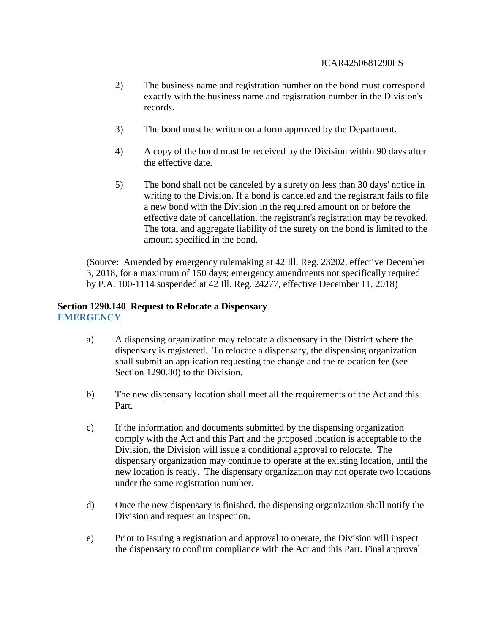- 2) The business name and registration number on the bond must correspond exactly with the business name and registration number in the Division's records.
- 3) The bond must be written on a form approved by the Department.
- 4) A copy of the bond must be received by the Division within 90 days after the effective date.
- 5) The bond shall not be canceled by a surety on less than 30 days' notice in writing to the Division. If a bond is canceled and the registrant fails to file a new bond with the Division in the required amount on or before the effective date of cancellation, the registrant's registration may be revoked. The total and aggregate liability of the surety on the bond is limited to the amount specified in the bond.

(Source: Amended by emergency rulemaking at 42 Ill. Reg. 23202, effective December 3, 2018, for a maximum of 150 days; emergency amendments not specifically required by P.A. 100-1114 suspended at 42 Ill. Reg. 24277, effective December 11, 2018)

## **Section 1290.140 Request to Relocate a Dispensary EMERGENCY**

- a) A dispensing organization may relocate a dispensary in the District where the dispensary is registered. To relocate a dispensary, the dispensing organization shall submit an application requesting the change and the relocation fee (see Section 1290.80) to the Division.
- b) The new dispensary location shall meet all the requirements of the Act and this Part.
- c) If the information and documents submitted by the dispensing organization comply with the Act and this Part and the proposed location is acceptable to the Division, the Division will issue a conditional approval to relocate. The dispensary organization may continue to operate at the existing location, until the new location is ready. The dispensary organization may not operate two locations under the same registration number.
- d) Once the new dispensary is finished, the dispensing organization shall notify the Division and request an inspection.
- e) Prior to issuing a registration and approval to operate, the Division will inspect the dispensary to confirm compliance with the Act and this Part. Final approval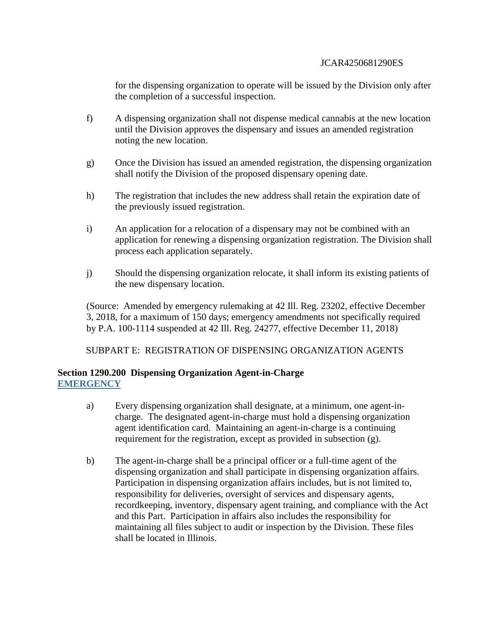for the dispensing organization to operate will be issued by the Division only after the completion of a successful inspection.

- f) A dispensing organization shall not dispense medical cannabis at the new location until the Division approves the dispensary and issues an amended registration noting the new location.
- g) Once the Division has issued an amended registration, the dispensing organization shall notify the Division of the proposed dispensary opening date.
- h) The registration that includes the new address shall retain the expiration date of the previously issued registration.
- i) An application for a relocation of a dispensary may not be combined with an application for renewing a dispensing organization registration. The Division shall process each application separately.
- j) Should the dispensing organization relocate, it shall inform its existing patients of the new dispensary location.

(Source: Amended by emergency rulemaking at 42 Ill. Reg. 23202, effective December 3, 2018, for a maximum of 150 days; emergency amendments not specifically required by P.A. 100-1114 suspended at 42 Ill. Reg. 24277, effective December 11, 2018)

SUBPART E: REGISTRATION OF DISPENSING ORGANIZATION AGENTS

## **Section 1290.200 Dispensing Organization Agent-in-Charge EMERGENCY**

- a) Every dispensing organization shall designate, at a minimum, one agent-incharge. The designated agent-in-charge must hold a dispensing organization agent identification card. Maintaining an agent-in-charge is a continuing requirement for the registration, except as provided in subsection (g).
- b) The agent-in-charge shall be a principal officer or a full-time agent of the dispensing organization and shall participate in dispensing organization affairs. Participation in dispensing organization affairs includes, but is not limited to, responsibility for deliveries, oversight of services and dispensary agents, recordkeeping, inventory, dispensary agent training, and compliance with the Act and this Part. Participation in affairs also includes the responsibility for maintaining all files subject to audit or inspection by the Division. These files shall be located in Illinois.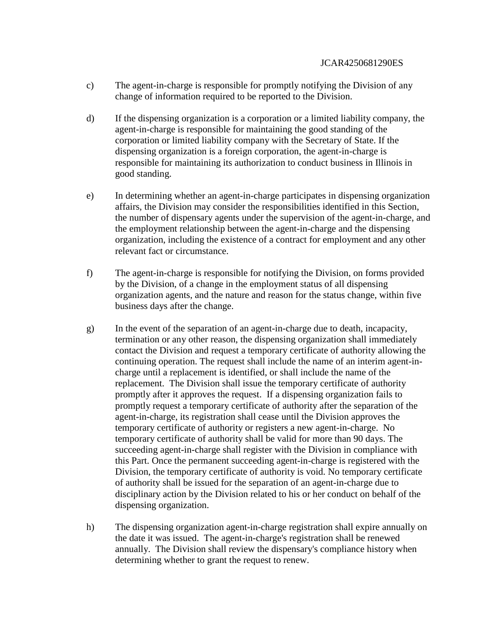- c) The agent-in-charge is responsible for promptly notifying the Division of any change of information required to be reported to the Division.
- d) If the dispensing organization is a corporation or a limited liability company, the agent-in-charge is responsible for maintaining the good standing of the corporation or limited liability company with the Secretary of State. If the dispensing organization is a foreign corporation, the agent-in-charge is responsible for maintaining its authorization to conduct business in Illinois in good standing.
- e) In determining whether an agent-in-charge participates in dispensing organization affairs, the Division may consider the responsibilities identified in this Section, the number of dispensary agents under the supervision of the agent-in-charge, and the employment relationship between the agent-in-charge and the dispensing organization, including the existence of a contract for employment and any other relevant fact or circumstance.
- f) The agent-in-charge is responsible for notifying the Division, on forms provided by the Division, of a change in the employment status of all dispensing organization agents, and the nature and reason for the status change, within five business days after the change.
- g) In the event of the separation of an agent-in-charge due to death, incapacity, termination or any other reason, the dispensing organization shall immediately contact the Division and request a temporary certificate of authority allowing the continuing operation. The request shall include the name of an interim agent-incharge until a replacement is identified, or shall include the name of the replacement. The Division shall issue the temporary certificate of authority promptly after it approves the request. If a dispensing organization fails to promptly request a temporary certificate of authority after the separation of the agent-in-charge, its registration shall cease until the Division approves the temporary certificate of authority or registers a new agent-in-charge. No temporary certificate of authority shall be valid for more than 90 days. The succeeding agent-in-charge shall register with the Division in compliance with this Part. Once the permanent succeeding agent-in-charge is registered with the Division, the temporary certificate of authority is void. No temporary certificate of authority shall be issued for the separation of an agent-in-charge due to disciplinary action by the Division related to his or her conduct on behalf of the dispensing organization.
- h) The dispensing organization agent-in-charge registration shall expire annually on the date it was issued. The agent-in-charge's registration shall be renewed annually. The Division shall review the dispensary's compliance history when determining whether to grant the request to renew.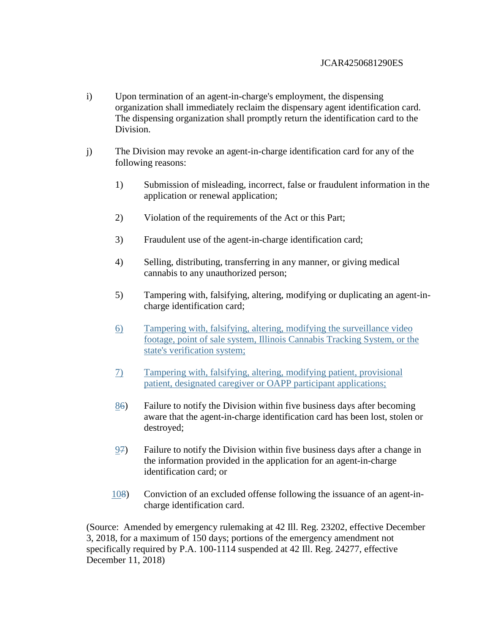- i) Upon termination of an agent-in-charge's employment, the dispensing organization shall immediately reclaim the dispensary agent identification card. The dispensing organization shall promptly return the identification card to the Division.
- j) The Division may revoke an agent-in-charge identification card for any of the following reasons:
	- 1) Submission of misleading, incorrect, false or fraudulent information in the application or renewal application;
	- 2) Violation of the requirements of the Act or this Part;
	- 3) Fraudulent use of the agent-in-charge identification card;
	- 4) Selling, distributing, transferring in any manner, or giving medical cannabis to any unauthorized person;
	- 5) Tampering with, falsifying, altering, modifying or duplicating an agent-incharge identification card;
	- 6) Tampering with, falsifying, altering, modifying the surveillance video footage, point of sale system, Illinois Cannabis Tracking System, or the state's verification system;
	- 7) Tampering with, falsifying, altering, modifying patient, provisional patient, designated caregiver or OAPP participant applications;
	- 86) Failure to notify the Division within five business days after becoming aware that the agent-in-charge identification card has been lost, stolen or destroyed;
	- 97) Failure to notify the Division within five business days after a change in the information provided in the application for an agent-in-charge identification card; or
	- 108) Conviction of an excluded offense following the issuance of an agent-incharge identification card.

(Source: Amended by emergency rulemaking at 42 Ill. Reg. 23202, effective December 3, 2018, for a maximum of 150 days; portions of the emergency amendment not specifically required by P.A. 100-1114 suspended at 42 Ill. Reg. 24277, effective December 11, 2018)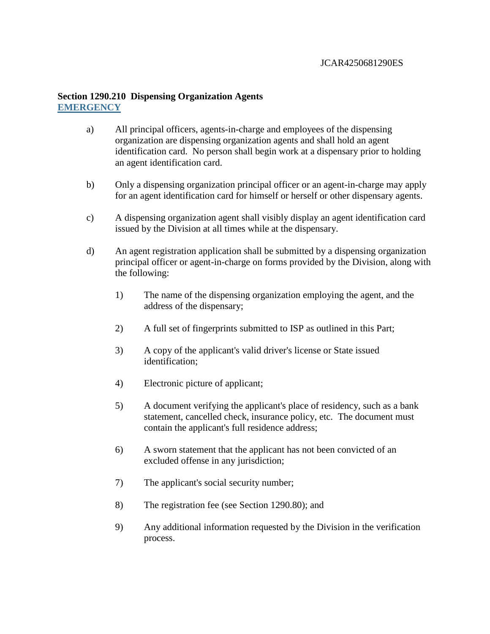## **Section 1290.210 Dispensing Organization Agents EMERGENCY**

- a) All principal officers, agents-in-charge and employees of the dispensing organization are dispensing organization agents and shall hold an agent identification card. No person shall begin work at a dispensary prior to holding an agent identification card.
- b) Only a dispensing organization principal officer or an agent-in-charge may apply for an agent identification card for himself or herself or other dispensary agents.
- c) A dispensing organization agent shall visibly display an agent identification card issued by the Division at all times while at the dispensary.
- d) An agent registration application shall be submitted by a dispensing organization principal officer or agent-in-charge on forms provided by the Division, along with the following:
	- 1) The name of the dispensing organization employing the agent, and the address of the dispensary;
	- 2) A full set of fingerprints submitted to ISP as outlined in this Part;
	- 3) A copy of the applicant's valid driver's license or State issued identification;
	- 4) Electronic picture of applicant;
	- 5) A document verifying the applicant's place of residency, such as a bank statement, cancelled check, insurance policy, etc. The document must contain the applicant's full residence address;
	- 6) A sworn statement that the applicant has not been convicted of an excluded offense in any jurisdiction;
	- 7) The applicant's social security number;
	- 8) The registration fee (see Section 1290.80); and
	- 9) Any additional information requested by the Division in the verification process.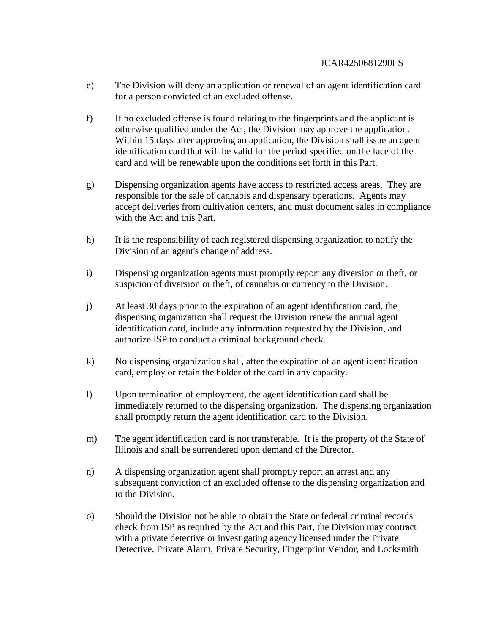- e) The Division will deny an application or renewal of an agent identification card for a person convicted of an excluded offense.
- f) If no excluded offense is found relating to the fingerprints and the applicant is otherwise qualified under the Act, the Division may approve the application. Within 15 days after approving an application, the Division shall issue an agent identification card that will be valid for the period specified on the face of the card and will be renewable upon the conditions set forth in this Part.
- g) Dispensing organization agents have access to restricted access areas. They are responsible for the sale of cannabis and dispensary operations. Agents may accept deliveries from cultivation centers, and must document sales in compliance with the Act and this Part.
- h) It is the responsibility of each registered dispensing organization to notify the Division of an agent's change of address.
- i) Dispensing organization agents must promptly report any diversion or theft, or suspicion of diversion or theft, of cannabis or currency to the Division.
- j) At least 30 days prior to the expiration of an agent identification card, the dispensing organization shall request the Division renew the annual agent identification card, include any information requested by the Division, and authorize ISP to conduct a criminal background check.
- k) No dispensing organization shall, after the expiration of an agent identification card, employ or retain the holder of the card in any capacity.
- l) Upon termination of employment, the agent identification card shall be immediately returned to the dispensing organization. The dispensing organization shall promptly return the agent identification card to the Division.
- m) The agent identification card is not transferable. It is the property of the State of Illinois and shall be surrendered upon demand of the Director.
- n) A dispensing organization agent shall promptly report an arrest and any subsequent conviction of an excluded offense to the dispensing organization and to the Division.
- o) Should the Division not be able to obtain the State or federal criminal records check from ISP as required by the Act and this Part, the Division may contract with a private detective or investigating agency licensed under the Private Detective, Private Alarm, Private Security, Fingerprint Vendor, and Locksmith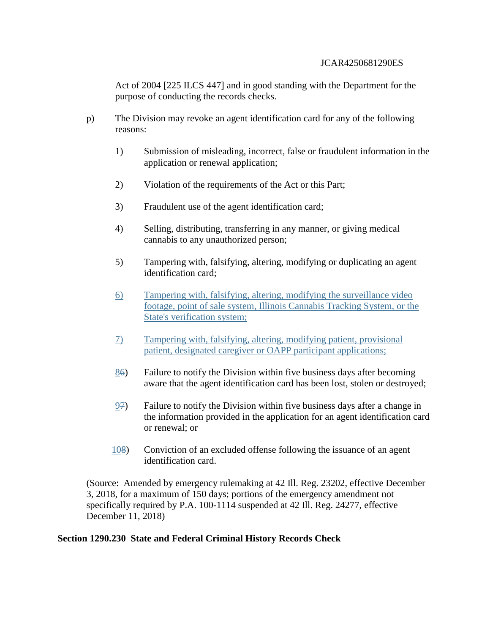Act of 2004 [225 ILCS 447] and in good standing with the Department for the purpose of conducting the records checks.

- p) The Division may revoke an agent identification card for any of the following reasons:
	- 1) Submission of misleading, incorrect, false or fraudulent information in the application or renewal application;
	- 2) Violation of the requirements of the Act or this Part;
	- 3) Fraudulent use of the agent identification card;
	- 4) Selling, distributing, transferring in any manner, or giving medical cannabis to any unauthorized person;
	- 5) Tampering with, falsifying, altering, modifying or duplicating an agent identification card;
	- 6) Tampering with, falsifying, altering, modifying the surveillance video footage, point of sale system, Illinois Cannabis Tracking System, or the State's verification system;
	- 7) Tampering with, falsifying, altering, modifying patient, provisional patient, designated caregiver or OAPP participant applications;
	- 86) Failure to notify the Division within five business days after becoming aware that the agent identification card has been lost, stolen or destroyed;
	- 97) Failure to notify the Division within five business days after a change in the information provided in the application for an agent identification card or renewal; or
	- 108) Conviction of an excluded offense following the issuance of an agent identification card.

(Source: Amended by emergency rulemaking at 42 Ill. Reg. 23202, effective December 3, 2018, for a maximum of 150 days; portions of the emergency amendment not specifically required by P.A. 100-1114 suspended at 42 Ill. Reg. 24277, effective December 11, 2018)

### **Section 1290.230 State and Federal Criminal History Records Check**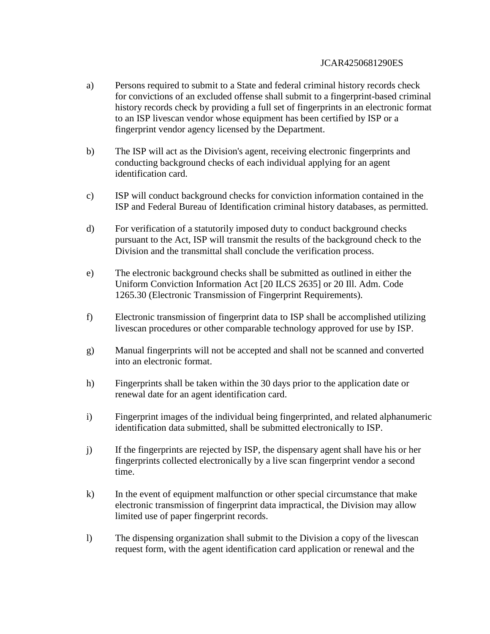- a) Persons required to submit to a State and federal criminal history records check for convictions of an excluded offense shall submit to a fingerprint-based criminal history records check by providing a full set of fingerprints in an electronic format to an ISP livescan vendor whose equipment has been certified by ISP or a fingerprint vendor agency licensed by the Department.
- b) The ISP will act as the Division's agent, receiving electronic fingerprints and conducting background checks of each individual applying for an agent identification card.
- c) ISP will conduct background checks for conviction information contained in the ISP and Federal Bureau of Identification criminal history databases, as permitted.
- d) For verification of a statutorily imposed duty to conduct background checks pursuant to the Act, ISP will transmit the results of the background check to the Division and the transmittal shall conclude the verification process.
- e) The electronic background checks shall be submitted as outlined in either the Uniform Conviction Information Act [20 ILCS 2635] or 20 Ill. Adm. Code 1265.30 (Electronic Transmission of Fingerprint Requirements).
- f) Electronic transmission of fingerprint data to ISP shall be accomplished utilizing livescan procedures or other comparable technology approved for use by ISP.
- g) Manual fingerprints will not be accepted and shall not be scanned and converted into an electronic format.
- h) Fingerprints shall be taken within the 30 days prior to the application date or renewal date for an agent identification card.
- i) Fingerprint images of the individual being fingerprinted, and related alphanumeric identification data submitted, shall be submitted electronically to ISP.
- j) If the fingerprints are rejected by ISP, the dispensary agent shall have his or her fingerprints collected electronically by a live scan fingerprint vendor a second time.
- k) In the event of equipment malfunction or other special circumstance that make electronic transmission of fingerprint data impractical, the Division may allow limited use of paper fingerprint records.
- l) The dispensing organization shall submit to the Division a copy of the livescan request form, with the agent identification card application or renewal and the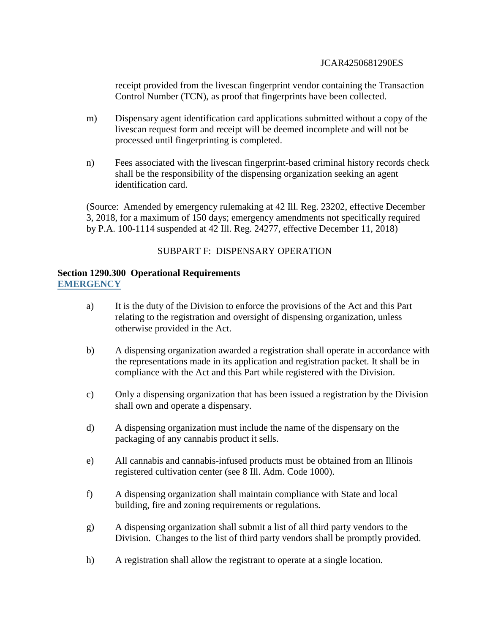receipt provided from the livescan fingerprint vendor containing the Transaction Control Number (TCN), as proof that fingerprints have been collected.

- m) Dispensary agent identification card applications submitted without a copy of the livescan request form and receipt will be deemed incomplete and will not be processed until fingerprinting is completed.
- n) Fees associated with the livescan fingerprint-based criminal history records check shall be the responsibility of the dispensing organization seeking an agent identification card.

(Source: Amended by emergency rulemaking at 42 Ill. Reg. 23202, effective December 3, 2018, for a maximum of 150 days; emergency amendments not specifically required by P.A. 100-1114 suspended at 42 Ill. Reg. 24277, effective December 11, 2018)

## SUBPART F: DISPENSARY OPERATION

## **Section 1290.300 Operational Requirements EMERGENCY**

- a) It is the duty of the Division to enforce the provisions of the Act and this Part relating to the registration and oversight of dispensing organization, unless otherwise provided in the Act.
- b) A dispensing organization awarded a registration shall operate in accordance with the representations made in its application and registration packet. It shall be in compliance with the Act and this Part while registered with the Division.
- c) Only a dispensing organization that has been issued a registration by the Division shall own and operate a dispensary.
- d) A dispensing organization must include the name of the dispensary on the packaging of any cannabis product it sells.
- e) All cannabis and cannabis-infused products must be obtained from an Illinois registered cultivation center (see 8 Ill. Adm. Code 1000).
- f) A dispensing organization shall maintain compliance with State and local building, fire and zoning requirements or regulations.
- g) A dispensing organization shall submit a list of all third party vendors to the Division. Changes to the list of third party vendors shall be promptly provided.
- h) A registration shall allow the registrant to operate at a single location.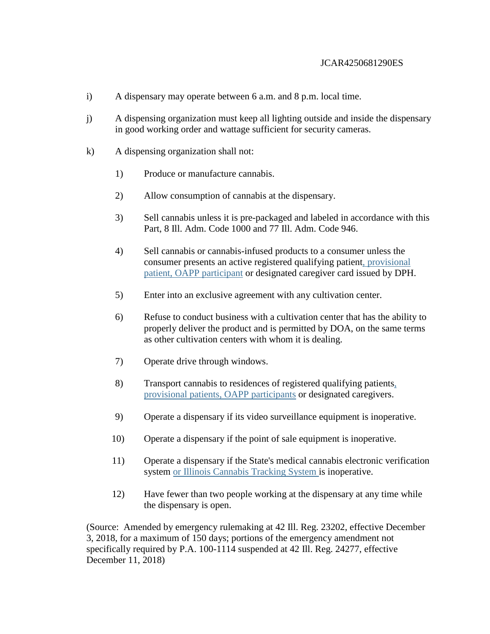- i) A dispensary may operate between 6 a.m. and 8 p.m. local time.
- j) A dispensing organization must keep all lighting outside and inside the dispensary in good working order and wattage sufficient for security cameras.
- k) A dispensing organization shall not:
	- 1) Produce or manufacture cannabis.
	- 2) Allow consumption of cannabis at the dispensary.
	- 3) Sell cannabis unless it is pre-packaged and labeled in accordance with this Part, 8 Ill. Adm. Code 1000 and 77 Ill. Adm. Code 946.
	- 4) Sell cannabis or cannabis-infused products to a consumer unless the consumer presents an active registered qualifying patient, provisional patient, OAPP participant or designated caregiver card issued by DPH.
	- 5) Enter into an exclusive agreement with any cultivation center.
	- 6) Refuse to conduct business with a cultivation center that has the ability to properly deliver the product and is permitted by DOA, on the same terms as other cultivation centers with whom it is dealing.
	- 7) Operate drive through windows.
	- 8) Transport cannabis to residences of registered qualifying patients, provisional patients, OAPP participants or designated caregivers.
	- 9) Operate a dispensary if its video surveillance equipment is inoperative.
	- 10) Operate a dispensary if the point of sale equipment is inoperative.
	- 11) Operate a dispensary if the State's medical cannabis electronic verification system or Illinois Cannabis Tracking System is inoperative.
	- 12) Have fewer than two people working at the dispensary at any time while the dispensary is open.

(Source: Amended by emergency rulemaking at 42 Ill. Reg. 23202, effective December 3, 2018, for a maximum of 150 days; portions of the emergency amendment not specifically required by P.A. 100-1114 suspended at 42 Ill. Reg. 24277, effective December 11, 2018)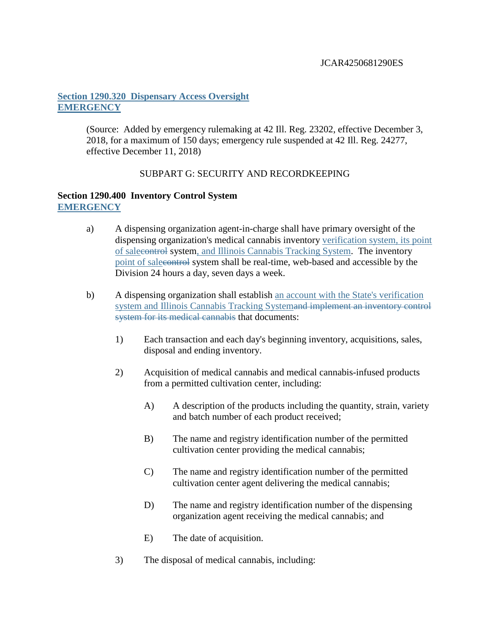# **Section 1290.320 Dispensary Access Oversight EMERGENCY**

(Source: Added by emergency rulemaking at 42 Ill. Reg. 23202, effective December 3, 2018, for a maximum of 150 days; emergency rule suspended at 42 Ill. Reg. 24277, effective December 11, 2018)

# SUBPART G: SECURITY AND RECORDKEEPING

## **Section 1290.400 Inventory Control System EMERGENCY**

- a) A dispensing organization agent-in-charge shall have primary oversight of the dispensing organization's medical cannabis inventory verification system, its point of salecontrol system, and Illinois Cannabis Tracking System. The inventory point of salecontrol system shall be real-time, web-based and accessible by the Division 24 hours a day, seven days a week.
- b) A dispensing organization shall establish an account with the State's verification system and Illinois Cannabis Tracking Systemand implement an inventory control system for its medical cannabis that documents:
	- 1) Each transaction and each day's beginning inventory, acquisitions, sales, disposal and ending inventory.
	- 2) Acquisition of medical cannabis and medical cannabis-infused products from a permitted cultivation center, including:
		- A) A description of the products including the quantity, strain, variety and batch number of each product received;
		- B) The name and registry identification number of the permitted cultivation center providing the medical cannabis;
		- C) The name and registry identification number of the permitted cultivation center agent delivering the medical cannabis;
		- D) The name and registry identification number of the dispensing organization agent receiving the medical cannabis; and
		- E) The date of acquisition.
	- 3) The disposal of medical cannabis, including: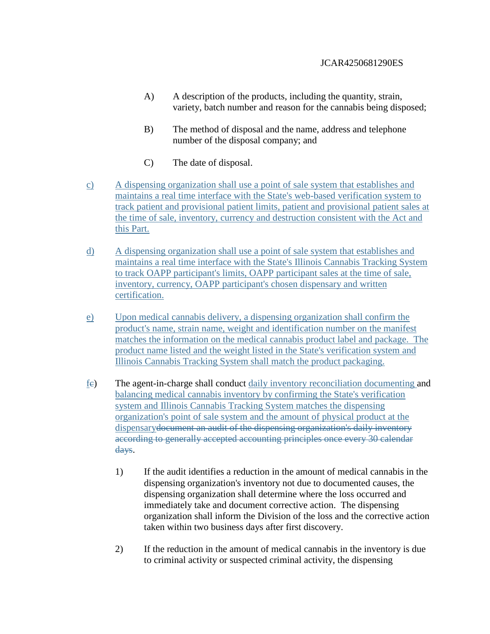- A) A description of the products, including the quantity, strain, variety, batch number and reason for the cannabis being disposed;
- B) The method of disposal and the name, address and telephone number of the disposal company; and
- C) The date of disposal.
- c) A dispensing organization shall use a point of sale system that establishes and maintains a real time interface with the State's web-based verification system to track patient and provisional patient limits, patient and provisional patient sales at the time of sale, inventory, currency and destruction consistent with the Act and this Part.
- d) A dispensing organization shall use a point of sale system that establishes and maintains a real time interface with the State's Illinois Cannabis Tracking System to track OAPP participant's limits, OAPP participant sales at the time of sale, inventory, currency, OAPP participant's chosen dispensary and written certification.
- e) Upon medical cannabis delivery, a dispensing organization shall confirm the product's name, strain name, weight and identification number on the manifest matches the information on the medical cannabis product label and package. The product name listed and the weight listed in the State's verification system and Illinois Cannabis Tracking System shall match the product packaging.
- fc) The agent-in-charge shall conduct daily inventory reconciliation documenting and balancing medical cannabis inventory by confirming the State's verification system and Illinois Cannabis Tracking System matches the dispensing organization's point of sale system and the amount of physical product at the dispensarydocument an audit of the dispensing organization's daily inventory according to generally accepted accounting principles once every 30 calendar days.
	- 1) If the audit identifies a reduction in the amount of medical cannabis in the dispensing organization's inventory not due to documented causes, the dispensing organization shall determine where the loss occurred and immediately take and document corrective action. The dispensing organization shall inform the Division of the loss and the corrective action taken within two business days after first discovery.
	- 2) If the reduction in the amount of medical cannabis in the inventory is due to criminal activity or suspected criminal activity, the dispensing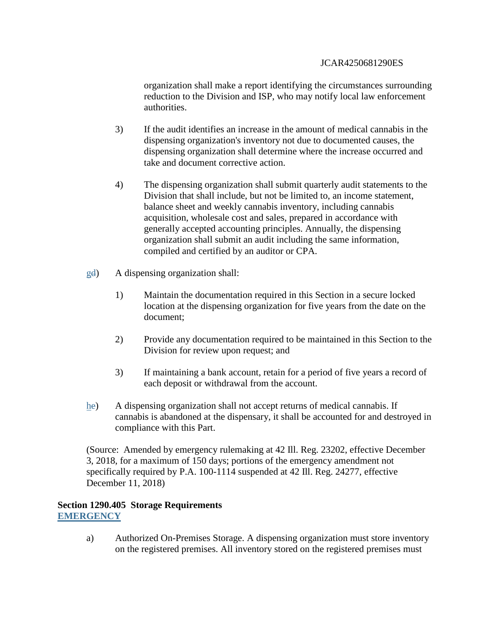organization shall make a report identifying the circumstances surrounding reduction to the Division and ISP, who may notify local law enforcement authorities.

- 3) If the audit identifies an increase in the amount of medical cannabis in the dispensing organization's inventory not due to documented causes, the dispensing organization shall determine where the increase occurred and take and document corrective action.
- 4) The dispensing organization shall submit quarterly audit statements to the Division that shall include, but not be limited to, an income statement, balance sheet and weekly cannabis inventory, including cannabis acquisition, wholesale cost and sales, prepared in accordance with generally accepted accounting principles. Annually, the dispensing organization shall submit an audit including the same information, compiled and certified by an auditor or CPA.
- gd) A dispensing organization shall:
	- 1) Maintain the documentation required in this Section in a secure locked location at the dispensing organization for five years from the date on the document;
	- 2) Provide any documentation required to be maintained in this Section to the Division for review upon request; and
	- 3) If maintaining a bank account, retain for a period of five years a record of each deposit or withdrawal from the account.
- he) A dispensing organization shall not accept returns of medical cannabis. If cannabis is abandoned at the dispensary, it shall be accounted for and destroyed in compliance with this Part.

(Source: Amended by emergency rulemaking at 42 Ill. Reg. 23202, effective December 3, 2018, for a maximum of 150 days; portions of the emergency amendment not specifically required by P.A. 100-1114 suspended at 42 Ill. Reg. 24277, effective December 11, 2018)

### **Section 1290.405 Storage Requirements EMERGENCY**

a) Authorized On-Premises Storage. A dispensing organization must store inventory on the registered premises. All inventory stored on the registered premises must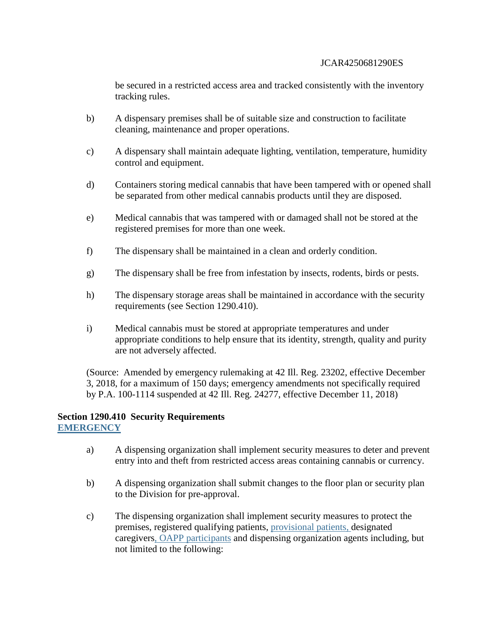be secured in a restricted access area and tracked consistently with the inventory tracking rules.

- b) A dispensary premises shall be of suitable size and construction to facilitate cleaning, maintenance and proper operations.
- c) A dispensary shall maintain adequate lighting, ventilation, temperature, humidity control and equipment.
- d) Containers storing medical cannabis that have been tampered with or opened shall be separated from other medical cannabis products until they are disposed.
- e) Medical cannabis that was tampered with or damaged shall not be stored at the registered premises for more than one week.
- f) The dispensary shall be maintained in a clean and orderly condition.
- g) The dispensary shall be free from infestation by insects, rodents, birds or pests.
- h) The dispensary storage areas shall be maintained in accordance with the security requirements (see Section 1290.410).
- i) Medical cannabis must be stored at appropriate temperatures and under appropriate conditions to help ensure that its identity, strength, quality and purity are not adversely affected.

(Source: Amended by emergency rulemaking at 42 Ill. Reg. 23202, effective December 3, 2018, for a maximum of 150 days; emergency amendments not specifically required by P.A. 100-1114 suspended at 42 Ill. Reg. 24277, effective December 11, 2018)

#### **Section 1290.410 Security Requirements EMERGENCY**

- a) A dispensing organization shall implement security measures to deter and prevent entry into and theft from restricted access areas containing cannabis or currency.
- b) A dispensing organization shall submit changes to the floor plan or security plan to the Division for pre-approval.
- c) The dispensing organization shall implement security measures to protect the premises, registered qualifying patients, provisional patients, designated caregivers, OAPP participants and dispensing organization agents including, but not limited to the following: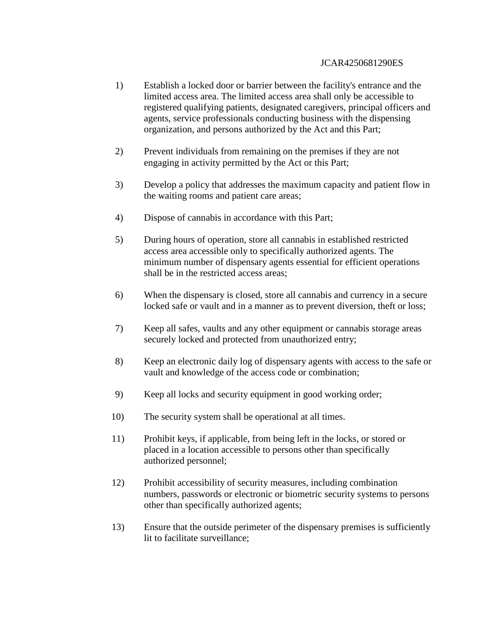- 1) Establish a locked door or barrier between the facility's entrance and the limited access area. The limited access area shall only be accessible to registered qualifying patients, designated caregivers, principal officers and agents, service professionals conducting business with the dispensing organization, and persons authorized by the Act and this Part;
- 2) Prevent individuals from remaining on the premises if they are not engaging in activity permitted by the Act or this Part;
- 3) Develop a policy that addresses the maximum capacity and patient flow in the waiting rooms and patient care areas;
- 4) Dispose of cannabis in accordance with this Part;
- 5) During hours of operation, store all cannabis in established restricted access area accessible only to specifically authorized agents. The minimum number of dispensary agents essential for efficient operations shall be in the restricted access areas;
- 6) When the dispensary is closed, store all cannabis and currency in a secure locked safe or vault and in a manner as to prevent diversion, theft or loss;
- 7) Keep all safes, vaults and any other equipment or cannabis storage areas securely locked and protected from unauthorized entry;
- 8) Keep an electronic daily log of dispensary agents with access to the safe or vault and knowledge of the access code or combination;
- 9) Keep all locks and security equipment in good working order;
- 10) The security system shall be operational at all times.
- 11) Prohibit keys, if applicable, from being left in the locks, or stored or placed in a location accessible to persons other than specifically authorized personnel;
- 12) Prohibit accessibility of security measures, including combination numbers, passwords or electronic or biometric security systems to persons other than specifically authorized agents;
- 13) Ensure that the outside perimeter of the dispensary premises is sufficiently lit to facilitate surveillance;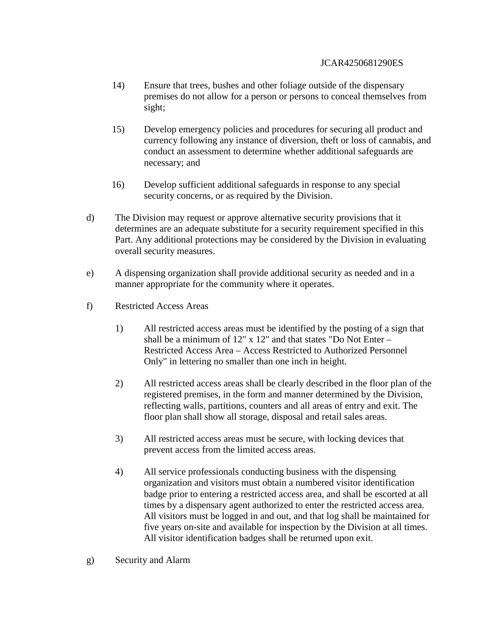- 14) Ensure that trees, bushes and other foliage outside of the dispensary premises do not allow for a person or persons to conceal themselves from sight;
- 15) Develop emergency policies and procedures for securing all product and currency following any instance of diversion, theft or loss of cannabis, and conduct an assessment to determine whether additional safeguards are necessary; and
- 16) Develop sufficient additional safeguards in response to any special security concerns, or as required by the Division.
- d) The Division may request or approve alternative security provisions that it determines are an adequate substitute for a security requirement specified in this Part. Any additional protections may be considered by the Division in evaluating overall security measures.
- e) A dispensing organization shall provide additional security as needed and in a manner appropriate for the community where it operates.
- f) Restricted Access Areas
	- 1) All restricted access areas must be identified by the posting of a sign that shall be a minimum of 12" x 12" and that states "Do Not Enter – Restricted Access Area – Access Restricted to Authorized Personnel Only" in lettering no smaller than one inch in height.
	- 2) All restricted access areas shall be clearly described in the floor plan of the registered premises, in the form and manner determined by the Division, reflecting walls, partitions, counters and all areas of entry and exit. The floor plan shall show all storage, disposal and retail sales areas.
	- 3) All restricted access areas must be secure, with locking devices that prevent access from the limited access areas.
	- 4) All service professionals conducting business with the dispensing organization and visitors must obtain a numbered visitor identification badge prior to entering a restricted access area, and shall be escorted at all times by a dispensary agent authorized to enter the restricted access area. All visitors must be logged in and out, and that log shall be maintained for five years on-site and available for inspection by the Division at all times. All visitor identification badges shall be returned upon exit.
- g) Security and Alarm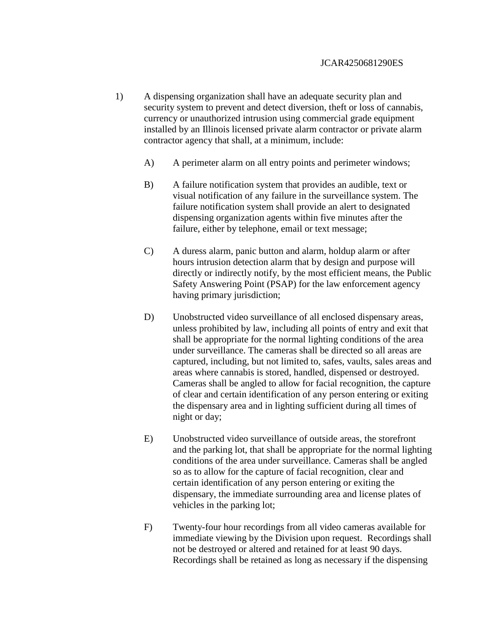- 1) A dispensing organization shall have an adequate security plan and security system to prevent and detect diversion, theft or loss of cannabis, currency or unauthorized intrusion using commercial grade equipment installed by an Illinois licensed private alarm contractor or private alarm contractor agency that shall, at a minimum, include:
	- A) A perimeter alarm on all entry points and perimeter windows;
	- B) A failure notification system that provides an audible, text or visual notification of any failure in the surveillance system. The failure notification system shall provide an alert to designated dispensing organization agents within five minutes after the failure, either by telephone, email or text message;
	- C) A duress alarm, panic button and alarm, holdup alarm or after hours intrusion detection alarm that by design and purpose will directly or indirectly notify, by the most efficient means, the Public Safety Answering Point (PSAP) for the law enforcement agency having primary jurisdiction;
	- D) Unobstructed video surveillance of all enclosed dispensary areas, unless prohibited by law, including all points of entry and exit that shall be appropriate for the normal lighting conditions of the area under surveillance. The cameras shall be directed so all areas are captured, including, but not limited to, safes, vaults, sales areas and areas where cannabis is stored, handled, dispensed or destroyed. Cameras shall be angled to allow for facial recognition, the capture of clear and certain identification of any person entering or exiting the dispensary area and in lighting sufficient during all times of night or day;
	- E) Unobstructed video surveillance of outside areas, the storefront and the parking lot, that shall be appropriate for the normal lighting conditions of the area under surveillance. Cameras shall be angled so as to allow for the capture of facial recognition, clear and certain identification of any person entering or exiting the dispensary, the immediate surrounding area and license plates of vehicles in the parking lot;
	- F) Twenty-four hour recordings from all video cameras available for immediate viewing by the Division upon request. Recordings shall not be destroyed or altered and retained for at least 90 days. Recordings shall be retained as long as necessary if the dispensing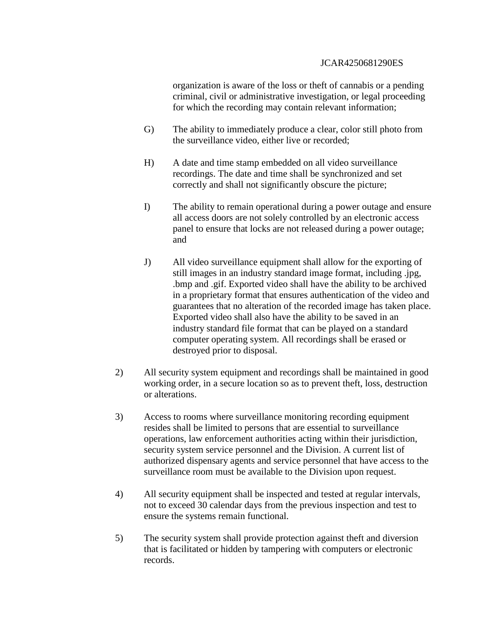organization is aware of the loss or theft of cannabis or a pending criminal, civil or administrative investigation, or legal proceeding for which the recording may contain relevant information;

- G) The ability to immediately produce a clear, color still photo from the surveillance video, either live or recorded;
- H) A date and time stamp embedded on all video surveillance recordings. The date and time shall be synchronized and set correctly and shall not significantly obscure the picture;
- I) The ability to remain operational during a power outage and ensure all access doors are not solely controlled by an electronic access panel to ensure that locks are not released during a power outage; and
- J) All video surveillance equipment shall allow for the exporting of still images in an industry standard image format, including .jpg, .bmp and .gif. Exported video shall have the ability to be archived in a proprietary format that ensures authentication of the video and guarantees that no alteration of the recorded image has taken place. Exported video shall also have the ability to be saved in an industry standard file format that can be played on a standard computer operating system. All recordings shall be erased or destroyed prior to disposal.
- 2) All security system equipment and recordings shall be maintained in good working order, in a secure location so as to prevent theft, loss, destruction or alterations.
- 3) Access to rooms where surveillance monitoring recording equipment resides shall be limited to persons that are essential to surveillance operations, law enforcement authorities acting within their jurisdiction, security system service personnel and the Division. A current list of authorized dispensary agents and service personnel that have access to the surveillance room must be available to the Division upon request.
- 4) All security equipment shall be inspected and tested at regular intervals, not to exceed 30 calendar days from the previous inspection and test to ensure the systems remain functional.
- 5) The security system shall provide protection against theft and diversion that is facilitated or hidden by tampering with computers or electronic records.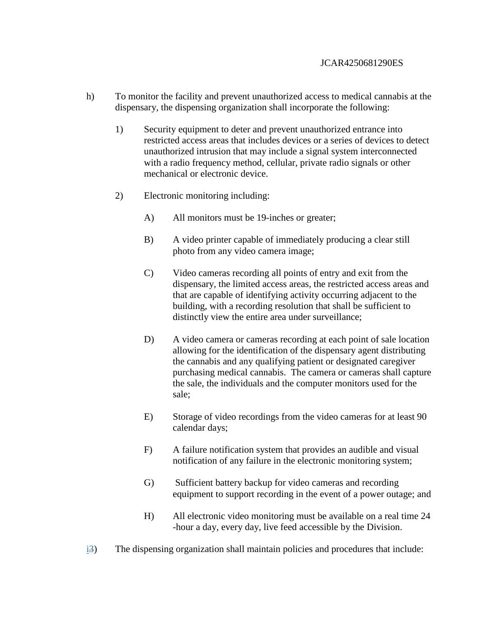- h) To monitor the facility and prevent unauthorized access to medical cannabis at the dispensary, the dispensing organization shall incorporate the following:
	- 1) Security equipment to deter and prevent unauthorized entrance into restricted access areas that includes devices or a series of devices to detect unauthorized intrusion that may include a signal system interconnected with a radio frequency method, cellular, private radio signals or other mechanical or electronic device.
	- 2) Electronic monitoring including:
		- A) All monitors must be 19-inches or greater;
		- B) A video printer capable of immediately producing a clear still photo from any video camera image;
		- C) Video cameras recording all points of entry and exit from the dispensary, the limited access areas, the restricted access areas and that are capable of identifying activity occurring adjacent to the building, with a recording resolution that shall be sufficient to distinctly view the entire area under surveillance;
		- D) A video camera or cameras recording at each point of sale location allowing for the identification of the dispensary agent distributing the cannabis and any qualifying patient or designated caregiver purchasing medical cannabis. The camera or cameras shall capture the sale, the individuals and the computer monitors used for the sale;
		- E) Storage of video recordings from the video cameras for at least 90 calendar days;
		- F) A failure notification system that provides an audible and visual notification of any failure in the electronic monitoring system;
		- G) Sufficient battery backup for video cameras and recording equipment to support recording in the event of a power outage; and
		- H) All electronic video monitoring must be available on a real time 24 -hour a day, every day, live feed accessible by the Division.
- i3) The dispensing organization shall maintain policies and procedures that include: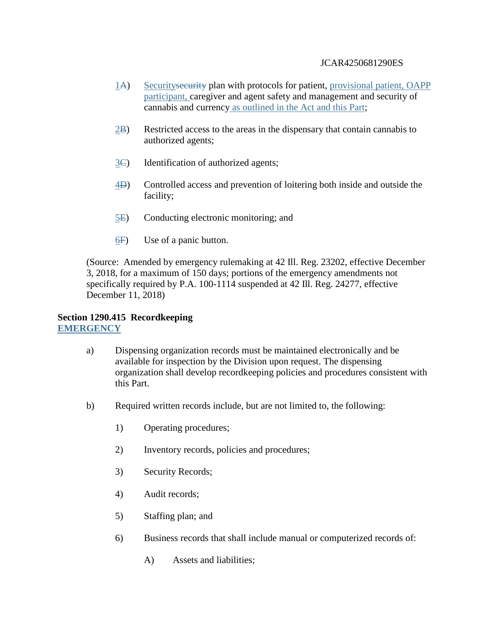- 1A) Securitysecurity plan with protocols for patient, provisional patient, OAPP participant, caregiver and agent safety and management and security of cannabis and currency as outlined in the Act and this Part;
- $(2B)$  Restricted access to the areas in the dispensary that contain cannabis to authorized agents;
- $3\text{C}$  Identification of authorized agents;
- 4D) Controlled access and prevention of loitering both inside and outside the facility;
- 5E) Conducting electronic monitoring; and
- 6F) Use of a panic button.

(Source: Amended by emergency rulemaking at 42 Ill. Reg. 23202, effective December 3, 2018, for a maximum of 150 days; portions of the emergency amendments not specifically required by P.A. 100-1114 suspended at 42 Ill. Reg. 24277, effective December 11, 2018)

### **Section 1290.415 Recordkeeping EMERGENCY**

- a) Dispensing organization records must be maintained electronically and be available for inspection by the Division upon request. The dispensing organization shall develop recordkeeping policies and procedures consistent with this Part.
- b) Required written records include, but are not limited to, the following:
	- 1) Operating procedures;
	- 2) Inventory records, policies and procedures;
	- 3) Security Records;
	- 4) Audit records;
	- 5) Staffing plan; and
	- 6) Business records that shall include manual or computerized records of:
		- A) Assets and liabilities;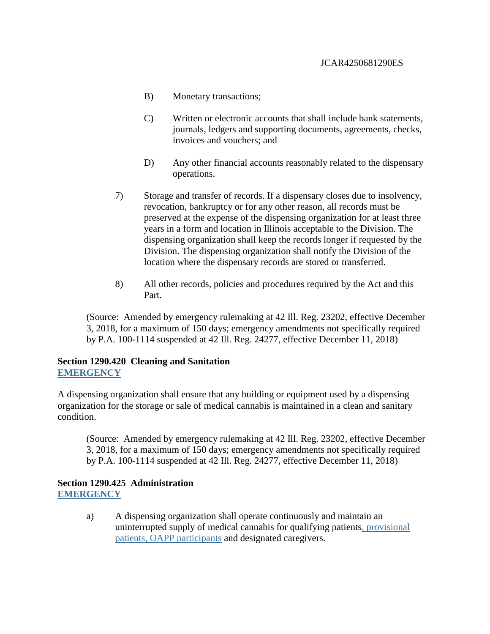- B) Monetary transactions;
- C) Written or electronic accounts that shall include bank statements, journals, ledgers and supporting documents, agreements, checks, invoices and vouchers; and
- D) Any other financial accounts reasonably related to the dispensary operations.
- 7) Storage and transfer of records. If a dispensary closes due to insolvency, revocation, bankruptcy or for any other reason, all records must be preserved at the expense of the dispensing organization for at least three years in a form and location in Illinois acceptable to the Division. The dispensing organization shall keep the records longer if requested by the Division. The dispensing organization shall notify the Division of the location where the dispensary records are stored or transferred.
- 8) All other records, policies and procedures required by the Act and this Part.

(Source: Amended by emergency rulemaking at 42 Ill. Reg. 23202, effective December 3, 2018, for a maximum of 150 days; emergency amendments not specifically required by P.A. 100-1114 suspended at 42 Ill. Reg. 24277, effective December 11, 2018)

### **Section 1290.420 Cleaning and Sanitation EMERGENCY**

A dispensing organization shall ensure that any building or equipment used by a dispensing organization for the storage or sale of medical cannabis is maintained in a clean and sanitary condition.

(Source: Amended by emergency rulemaking at 42 Ill. Reg. 23202, effective December 3, 2018, for a maximum of 150 days; emergency amendments not specifically required by P.A. 100-1114 suspended at 42 Ill. Reg. 24277, effective December 11, 2018)

## **Section 1290.425 Administration EMERGENCY**

a) A dispensing organization shall operate continuously and maintain an uninterrupted supply of medical cannabis for qualifying patients, provisional patients, OAPP participants and designated caregivers.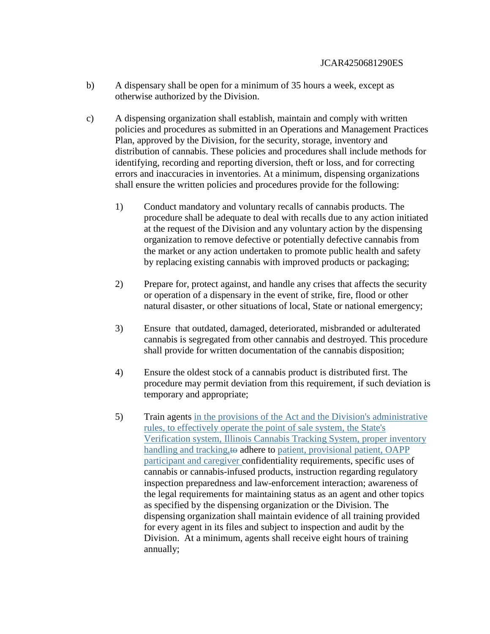- b) A dispensary shall be open for a minimum of 35 hours a week, except as otherwise authorized by the Division.
- c) A dispensing organization shall establish, maintain and comply with written policies and procedures as submitted in an Operations and Management Practices Plan, approved by the Division, for the security, storage, inventory and distribution of cannabis. These policies and procedures shall include methods for identifying, recording and reporting diversion, theft or loss, and for correcting errors and inaccuracies in inventories. At a minimum, dispensing organizations shall ensure the written policies and procedures provide for the following:
	- 1) Conduct mandatory and voluntary recalls of cannabis products. The procedure shall be adequate to deal with recalls due to any action initiated at the request of the Division and any voluntary action by the dispensing organization to remove defective or potentially defective cannabis from the market or any action undertaken to promote public health and safety by replacing existing cannabis with improved products or packaging;
	- 2) Prepare for, protect against, and handle any crises that affects the security or operation of a dispensary in the event of strike, fire, flood or other natural disaster, or other situations of local, State or national emergency;
	- 3) Ensure that outdated, damaged, deteriorated, misbranded or adulterated cannabis is segregated from other cannabis and destroyed. This procedure shall provide for written documentation of the cannabis disposition;
	- 4) Ensure the oldest stock of a cannabis product is distributed first. The procedure may permit deviation from this requirement, if such deviation is temporary and appropriate;
	- 5) Train agents in the provisions of the Act and the Division's administrative rules, to effectively operate the point of sale system, the State's Verification system, Illinois Cannabis Tracking System, proper inventory handling and tracking, to adhere to patient, provisional patient, OAPP participant and caregiver confidentiality requirements, specific uses of cannabis or cannabis-infused products, instruction regarding regulatory inspection preparedness and law-enforcement interaction; awareness of the legal requirements for maintaining status as an agent and other topics as specified by the dispensing organization or the Division. The dispensing organization shall maintain evidence of all training provided for every agent in its files and subject to inspection and audit by the Division. At a minimum, agents shall receive eight hours of training annually;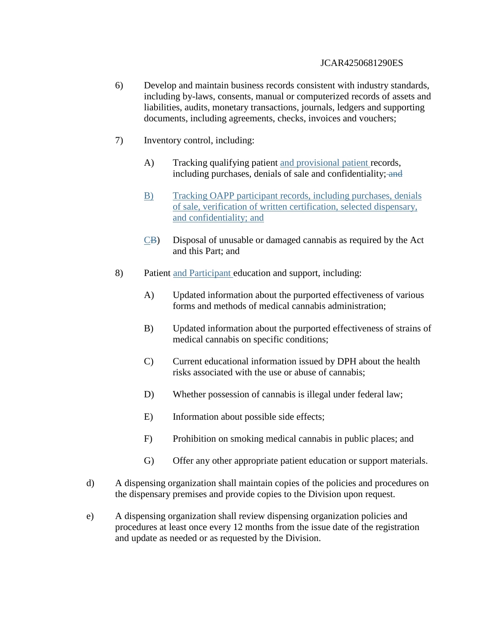- 6) Develop and maintain business records consistent with industry standards, including by-laws, consents, manual or computerized records of assets and liabilities, audits, monetary transactions, journals, ledgers and supporting documents, including agreements, checks, invoices and vouchers;
- 7) Inventory control, including:
	- A) Tracking qualifying patient and provisional patient records, including purchases, denials of sale and confidentiality; and
	- B) Tracking OAPP participant records, including purchases, denials of sale, verification of written certification, selected dispensary, and confidentiality; and
	- CB) Disposal of unusable or damaged cannabis as required by the Act and this Part; and
- 8) Patient and Participant education and support, including:
	- A) Updated information about the purported effectiveness of various forms and methods of medical cannabis administration;
	- B) Updated information about the purported effectiveness of strains of medical cannabis on specific conditions;
	- C) Current educational information issued by DPH about the health risks associated with the use or abuse of cannabis;
	- D) Whether possession of cannabis is illegal under federal law;
	- E) Information about possible side effects;
	- F) Prohibition on smoking medical cannabis in public places; and
	- G) Offer any other appropriate patient education or support materials.
- d) A dispensing organization shall maintain copies of the policies and procedures on the dispensary premises and provide copies to the Division upon request.
- e) A dispensing organization shall review dispensing organization policies and procedures at least once every 12 months from the issue date of the registration and update as needed or as requested by the Division.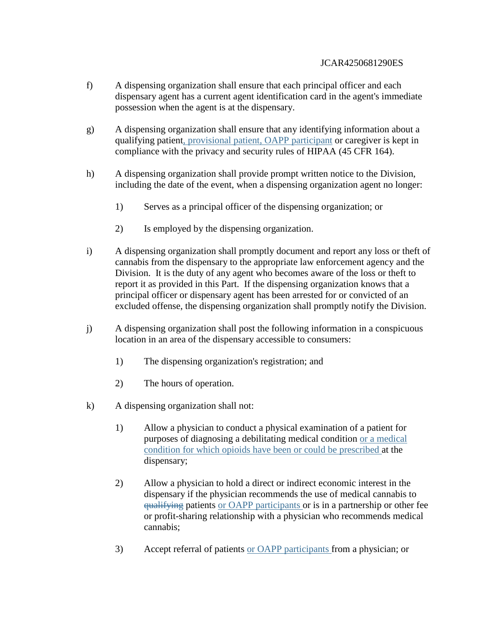- f) A dispensing organization shall ensure that each principal officer and each dispensary agent has a current agent identification card in the agent's immediate possession when the agent is at the dispensary.
- g) A dispensing organization shall ensure that any identifying information about a qualifying patient, provisional patient, OAPP participant or caregiver is kept in compliance with the privacy and security rules of HIPAA (45 CFR 164).
- h) A dispensing organization shall provide prompt written notice to the Division, including the date of the event, when a dispensing organization agent no longer:
	- 1) Serves as a principal officer of the dispensing organization; or
	- 2) Is employed by the dispensing organization.
- i) A dispensing organization shall promptly document and report any loss or theft of cannabis from the dispensary to the appropriate law enforcement agency and the Division. It is the duty of any agent who becomes aware of the loss or theft to report it as provided in this Part. If the dispensing organization knows that a principal officer or dispensary agent has been arrested for or convicted of an excluded offense, the dispensing organization shall promptly notify the Division.
- j) A dispensing organization shall post the following information in a conspicuous location in an area of the dispensary accessible to consumers:
	- 1) The dispensing organization's registration; and
	- 2) The hours of operation.
- k) A dispensing organization shall not:
	- 1) Allow a physician to conduct a physical examination of a patient for purposes of diagnosing a debilitating medical condition or a medical condition for which opioids have been or could be prescribed at the dispensary;
	- 2) Allow a physician to hold a direct or indirect economic interest in the dispensary if the physician recommends the use of medical cannabis to qualifying patients or OAPP participants or is in a partnership or other fee or profit-sharing relationship with a physician who recommends medical cannabis;
	- 3) Accept referral of patients or OAPP participants from a physician; or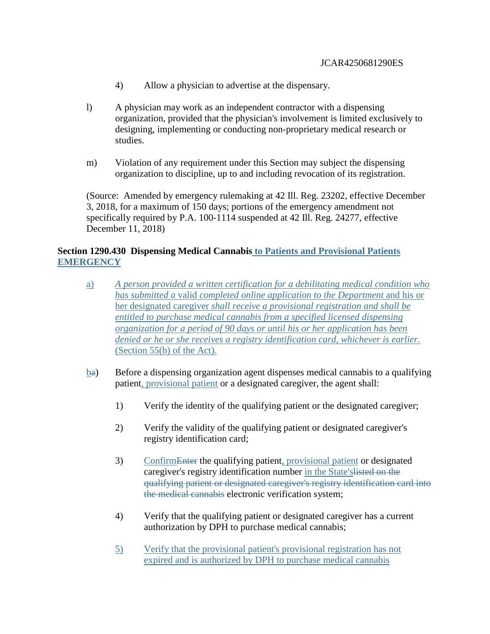- 4) Allow a physician to advertise at the dispensary.
- l) A physician may work as an independent contractor with a dispensing organization, provided that the physician's involvement is limited exclusively to designing, implementing or conducting non-proprietary medical research or studies.
- m) Violation of any requirement under this Section may subject the dispensing organization to discipline, up to and including revocation of its registration.

(Source: Amended by emergency rulemaking at 42 Ill. Reg. 23202, effective December 3, 2018, for a maximum of 150 days; portions of the emergency amendment not specifically required by P.A. 100-1114 suspended at 42 Ill. Reg. 24277, effective December 11, 2018)

# **Section 1290.430 Dispensing Medical Cannabis to Patients and Provisional Patients EMERGENCY**

- a) *A person provided a written certification for a debilitating medical condition who has submitted a* valid *completed online application to the Department* and his or her designated caregiver *shall receive a provisional registration and shall be entitled to purchase medical cannabis from a specified licensed dispensing organization for a period of 90 days or until his or her application has been denied or he or she receives a registry identification card, whichever is earlier.*  (Section 55(b) of the Act).
- ba) Before a dispensing organization agent dispenses medical cannabis to a qualifying patient, provisional patient or a designated caregiver, the agent shall:
	- 1) Verify the identity of the qualifying patient or the designated caregiver;
	- 2) Verify the validity of the qualifying patient or designated caregiver's registry identification card;
	- 3) ConfirmEnter the qualifying patient, provisional patient or designated caregiver's registry identification number in the State'slisted on the qualifying patient or designated caregiver's registry identification card into the medical cannabis electronic verification system;
	- 4) Verify that the qualifying patient or designated caregiver has a current authorization by DPH to purchase medical cannabis;
	- 5) Verify that the provisional patient's provisional registration has not expired and is authorized by DPH to purchase medical cannabis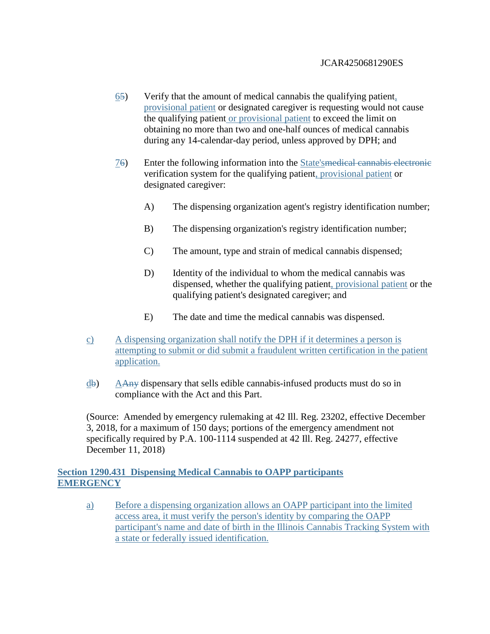- 65) Verify that the amount of medical cannabis the qualifying patient, provisional patient or designated caregiver is requesting would not cause the qualifying patient or provisional patient to exceed the limit on obtaining no more than two and one-half ounces of medical cannabis during any 14-calendar-day period, unless approved by DPH; and
- 76) Enter the following information into the State'smedical cannabis electronic verification system for the qualifying patient, provisional patient or designated caregiver:
	- A) The dispensing organization agent's registry identification number;
	- B) The dispensing organization's registry identification number;
	- C) The amount, type and strain of medical cannabis dispensed;
	- D) Identity of the individual to whom the medical cannabis was dispensed, whether the qualifying patient, provisional patient or the qualifying patient's designated caregiver; and
	- E) The date and time the medical cannabis was dispensed.
- c) A dispensing organization shall notify the DPH if it determines a person is attempting to submit or did submit a fraudulent written certification in the patient application.
- db) AAny dispensary that sells edible cannabis-infused products must do so in compliance with the Act and this Part.

(Source: Amended by emergency rulemaking at 42 Ill. Reg. 23202, effective December 3, 2018, for a maximum of 150 days; portions of the emergency amendment not specifically required by P.A. 100-1114 suspended at 42 Ill. Reg. 24277, effective December 11, 2018)

## **Section 1290.431 Dispensing Medical Cannabis to OAPP participants EMERGENCY**

a) Before a dispensing organization allows an OAPP participant into the limited access area, it must verify the person's identity by comparing the OAPP participant's name and date of birth in the Illinois Cannabis Tracking System with a state or federally issued identification.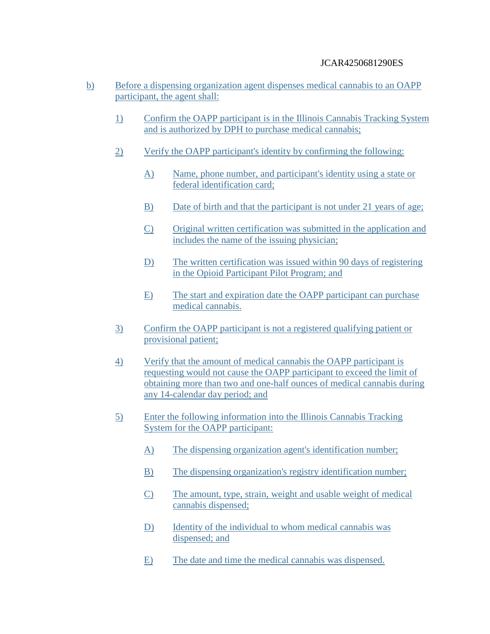- b) Before a dispensing organization agent dispenses medical cannabis to an OAPP participant, the agent shall:
	- 1) Confirm the OAPP participant is in the Illinois Cannabis Tracking System and is authorized by DPH to purchase medical cannabis;
	- 2) Verify the OAPP participant's identity by confirming the following:
		- A) Name, phone number, and participant's identity using a state or federal identification card;
		- B) Date of birth and that the participant is not under 21 years of age;
		- C) Original written certification was submitted in the application and includes the name of the issuing physician;
		- D) The written certification was issued within 90 days of registering in the Opioid Participant Pilot Program; and
		- E) The start and expiration date the OAPP participant can purchase medical cannabis.
	- 3) Confirm the OAPP participant is not a registered qualifying patient or provisional patient;
	- 4) Verify that the amount of medical cannabis the OAPP participant is requesting would not cause the OAPP participant to exceed the limit of obtaining more than two and one-half ounces of medical cannabis during any 14-calendar day period; and
	- 5) Enter the following information into the Illinois Cannabis Tracking System for the OAPP participant:
		- A) The dispensing organization agent's identification number;
		- B) The dispensing organization's registry identification number;
		- C) The amount, type, strain, weight and usable weight of medical cannabis dispensed;
		- D) Identity of the individual to whom medical cannabis was dispensed; and
		- E) The date and time the medical cannabis was dispensed.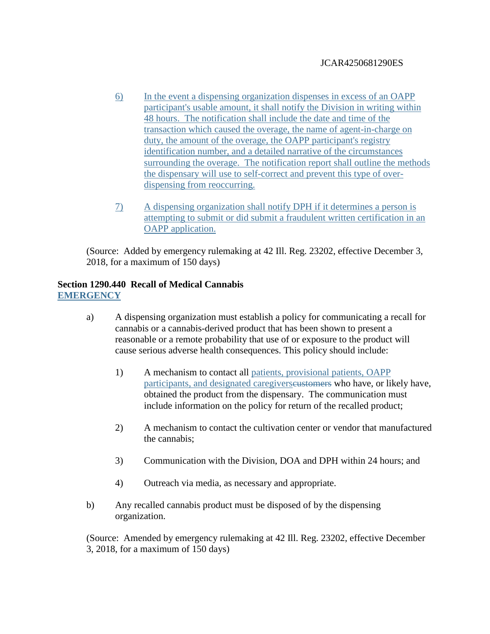- 6) In the event a dispensing organization dispenses in excess of an OAPP participant's usable amount, it shall notify the Division in writing within 48 hours. The notification shall include the date and time of the transaction which caused the overage, the name of agent-in-charge on duty, the amount of the overage, the OAPP participant's registry identification number, and a detailed narrative of the circumstances surrounding the overage. The notification report shall outline the methods the dispensary will use to self-correct and prevent this type of overdispensing from reoccurring.
- 7) A dispensing organization shall notify DPH if it determines a person is attempting to submit or did submit a fraudulent written certification in an OAPP application.

(Source: Added by emergency rulemaking at 42 Ill. Reg. 23202, effective December 3, 2018, for a maximum of 150 days)

# **Section 1290.440 Recall of Medical Cannabis EMERGENCY**

- a) A dispensing organization must establish a policy for communicating a recall for cannabis or a cannabis-derived product that has been shown to present a reasonable or a remote probability that use of or exposure to the product will cause serious adverse health consequences. This policy should include:
	- 1) A mechanism to contact all patients, provisional patients, OAPP participants, and designated caregivers eustomers who have, or likely have, obtained the product from the dispensary. The communication must include information on the policy for return of the recalled product;
	- 2) A mechanism to contact the cultivation center or vendor that manufactured the cannabis;
	- 3) Communication with the Division, DOA and DPH within 24 hours; and
	- 4) Outreach via media, as necessary and appropriate.
- b) Any recalled cannabis product must be disposed of by the dispensing organization.

(Source: Amended by emergency rulemaking at 42 Ill. Reg. 23202, effective December 3, 2018, for a maximum of 150 days)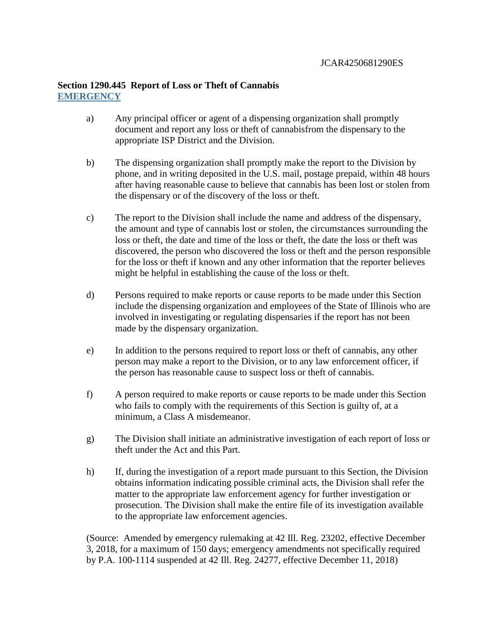## **Section 1290.445 Report of Loss or Theft of Cannabis EMERGENCY**

- a) Any principal officer or agent of a dispensing organization shall promptly document and report any loss or theft of cannabisfrom the dispensary to the appropriate ISP District and the Division.
- b) The dispensing organization shall promptly make the report to the Division by phone, and in writing deposited in the U.S. mail, postage prepaid, within 48 hours after having reasonable cause to believe that cannabis has been lost or stolen from the dispensary or of the discovery of the loss or theft.
- c) The report to the Division shall include the name and address of the dispensary, the amount and type of cannabis lost or stolen, the circumstances surrounding the loss or theft, the date and time of the loss or theft, the date the loss or theft was discovered, the person who discovered the loss or theft and the person responsible for the loss or theft if known and any other information that the reporter believes might be helpful in establishing the cause of the loss or theft.
- d) Persons required to make reports or cause reports to be made under this Section include the dispensing organization and employees of the State of Illinois who are involved in investigating or regulating dispensaries if the report has not been made by the dispensary organization.
- e) In addition to the persons required to report loss or theft of cannabis, any other person may make a report to the Division, or to any law enforcement officer, if the person has reasonable cause to suspect loss or theft of cannabis.
- f) A person required to make reports or cause reports to be made under this Section who fails to comply with the requirements of this Section is guilty of, at a minimum, a Class A misdemeanor.
- g) The Division shall initiate an administrative investigation of each report of loss or theft under the Act and this Part.
- h) If, during the investigation of a report made pursuant to this Section, the Division obtains information indicating possible criminal acts, the Division shall refer the matter to the appropriate law enforcement agency for further investigation or prosecution. The Division shall make the entire file of its investigation available to the appropriate law enforcement agencies.

(Source: Amended by emergency rulemaking at 42 Ill. Reg. 23202, effective December 3, 2018, for a maximum of 150 days; emergency amendments not specifically required by P.A. 100-1114 suspended at 42 Ill. Reg. 24277, effective December 11, 2018)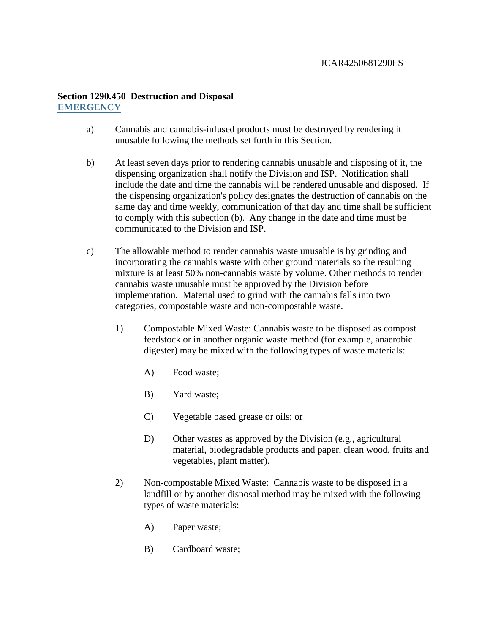# **Section 1290.450 Destruction and Disposal EMERGENCY**

- a) Cannabis and cannabis-infused products must be destroyed by rendering it unusable following the methods set forth in this Section.
- b) At least seven days prior to rendering cannabis unusable and disposing of it, the dispensing organization shall notify the Division and ISP. Notification shall include the date and time the cannabis will be rendered unusable and disposed. If the dispensing organization's policy designates the destruction of cannabis on the same day and time weekly, communication of that day and time shall be sufficient to comply with this subection (b). Any change in the date and time must be communicated to the Division and ISP.
- c) The allowable method to render cannabis waste unusable is by grinding and incorporating the cannabis waste with other ground materials so the resulting mixture is at least 50% non-cannabis waste by volume. Other methods to render cannabis waste unusable must be approved by the Division before implementation. Material used to grind with the cannabis falls into two categories, compostable waste and non-compostable waste.
	- 1) Compostable Mixed Waste: Cannabis waste to be disposed as compost feedstock or in another organic waste method (for example, anaerobic digester) may be mixed with the following types of waste materials:
		- A) Food waste;
		- B) Yard waste;
		- C) Vegetable based grease or oils; or
		- D) Other wastes as approved by the Division (e.g., agricultural material, biodegradable products and paper, clean wood, fruits and vegetables, plant matter).
	- 2) Non-compostable Mixed Waste: Cannabis waste to be disposed in a landfill or by another disposal method may be mixed with the following types of waste materials:
		- A) Paper waste;
		- B) Cardboard waste;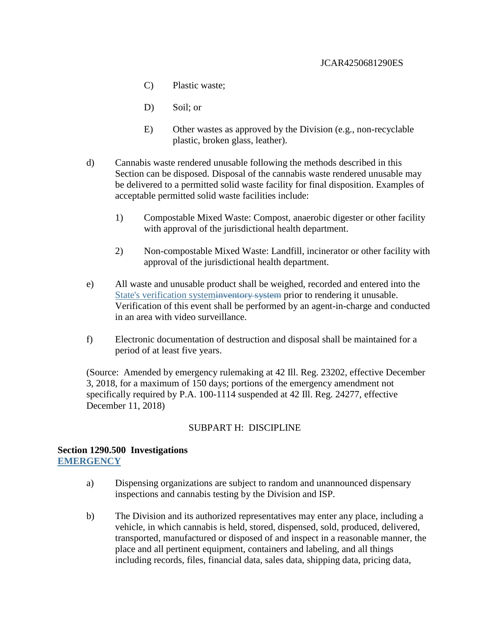- C) Plastic waste;
- D) Soil; or
- E) Other wastes as approved by the Division (e.g., non-recyclable plastic, broken glass, leather).
- d) Cannabis waste rendered unusable following the methods described in this Section can be disposed. Disposal of the cannabis waste rendered unusable may be delivered to a permitted solid waste facility for final disposition. Examples of acceptable permitted solid waste facilities include:
	- 1) Compostable Mixed Waste: Compost, anaerobic digester or other facility with approval of the jurisdictional health department.
	- 2) Non-compostable Mixed Waste: Landfill, incinerator or other facility with approval of the jurisdictional health department.
- e) All waste and unusable product shall be weighed, recorded and entered into the State's verification systeminventory system prior to rendering it unusable. Verification of this event shall be performed by an agent-in-charge and conducted in an area with video surveillance.
- f) Electronic documentation of destruction and disposal shall be maintained for a period of at least five years.

(Source: Amended by emergency rulemaking at 42 Ill. Reg. 23202, effective December 3, 2018, for a maximum of 150 days; portions of the emergency amendment not specifically required by P.A. 100-1114 suspended at 42 Ill. Reg. 24277, effective December 11, 2018)

# SUBPART H: DISCIPLINE

### **Section 1290.500 Investigations EMERGENCY**

- a) Dispensing organizations are subject to random and unannounced dispensary inspections and cannabis testing by the Division and ISP.
- b) The Division and its authorized representatives may enter any place, including a vehicle, in which cannabis is held, stored, dispensed, sold, produced, delivered, transported, manufactured or disposed of and inspect in a reasonable manner, the place and all pertinent equipment, containers and labeling, and all things including records, files, financial data, sales data, shipping data, pricing data,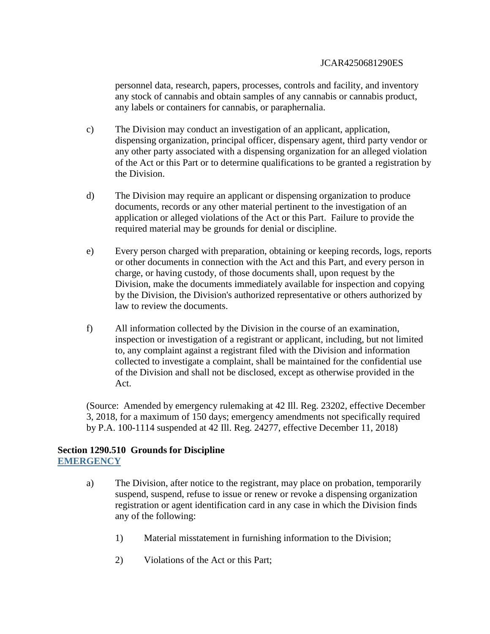personnel data, research, papers, processes, controls and facility, and inventory any stock of cannabis and obtain samples of any cannabis or cannabis product, any labels or containers for cannabis, or paraphernalia.

- c) The Division may conduct an investigation of an applicant, application, dispensing organization, principal officer, dispensary agent, third party vendor or any other party associated with a dispensing organization for an alleged violation of the Act or this Part or to determine qualifications to be granted a registration by the Division.
- d) The Division may require an applicant or dispensing organization to produce documents, records or any other material pertinent to the investigation of an application or alleged violations of the Act or this Part. Failure to provide the required material may be grounds for denial or discipline.
- e) Every person charged with preparation, obtaining or keeping records, logs, reports or other documents in connection with the Act and this Part, and every person in charge, or having custody, of those documents shall, upon request by the Division, make the documents immediately available for inspection and copying by the Division, the Division's authorized representative or others authorized by law to review the documents.
- f) All information collected by the Division in the course of an examination, inspection or investigation of a registrant or applicant, including, but not limited to, any complaint against a registrant filed with the Division and information collected to investigate a complaint, shall be maintained for the confidential use of the Division and shall not be disclosed, except as otherwise provided in the Act.

(Source: Amended by emergency rulemaking at 42 Ill. Reg. 23202, effective December 3, 2018, for a maximum of 150 days; emergency amendments not specifically required by P.A. 100-1114 suspended at 42 Ill. Reg. 24277, effective December 11, 2018)

## **Section 1290.510 Grounds for Discipline EMERGENCY**

- a) The Division, after notice to the registrant, may place on probation, temporarily suspend, suspend, refuse to issue or renew or revoke a dispensing organization registration or agent identification card in any case in which the Division finds any of the following:
	- 1) Material misstatement in furnishing information to the Division;
	- 2) Violations of the Act or this Part;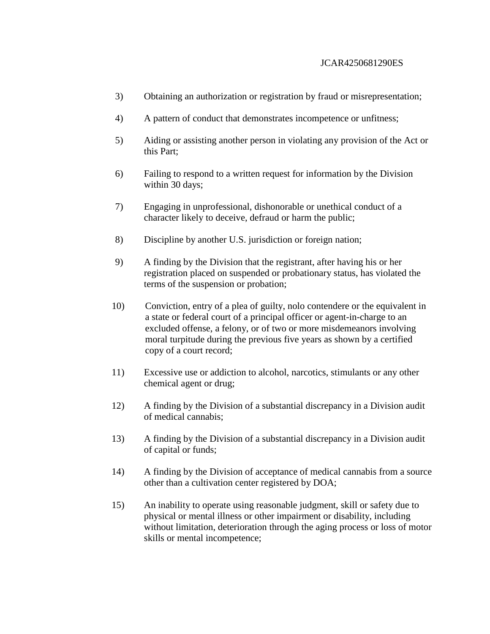- 3) Obtaining an authorization or registration by fraud or misrepresentation;
- 4) A pattern of conduct that demonstrates incompetence or unfitness;
- 5) Aiding or assisting another person in violating any provision of the Act or this Part;
- 6) Failing to respond to a written request for information by the Division within 30 days;
- 7) Engaging in unprofessional, dishonorable or unethical conduct of a character likely to deceive, defraud or harm the public;
- 8) Discipline by another U.S. jurisdiction or foreign nation;
- 9) A finding by the Division that the registrant, after having his or her registration placed on suspended or probationary status, has violated the terms of the suspension or probation;
- 10) Conviction, entry of a plea of guilty, nolo contendere or the equivalent in a state or federal court of a principal officer or agent-in-charge to an excluded offense, a felony, or of two or more misdemeanors involving moral turpitude during the previous five years as shown by a certified copy of a court record;
- 11) Excessive use or addiction to alcohol, narcotics, stimulants or any other chemical agent or drug;
- 12) A finding by the Division of a substantial discrepancy in a Division audit of medical cannabis;
- 13) A finding by the Division of a substantial discrepancy in a Division audit of capital or funds;
- 14) A finding by the Division of acceptance of medical cannabis from a source other than a cultivation center registered by DOA;
- 15) An inability to operate using reasonable judgment, skill or safety due to physical or mental illness or other impairment or disability, including without limitation, deterioration through the aging process or loss of motor skills or mental incompetence;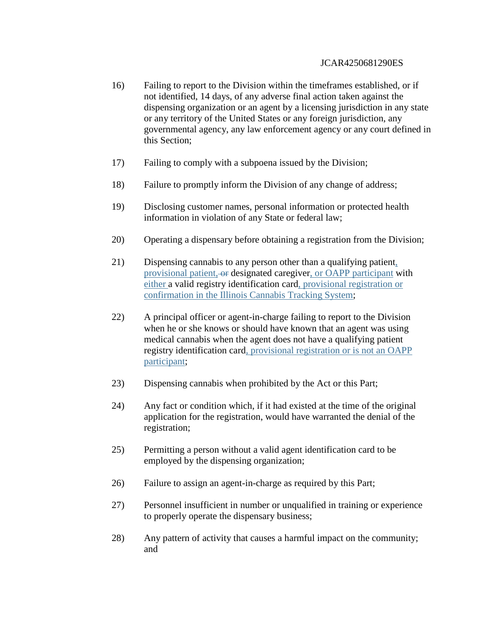- 16) Failing to report to the Division within the timeframes established, or if not identified, 14 days, of any adverse final action taken against the dispensing organization or an agent by a licensing jurisdiction in any state or any territory of the United States or any foreign jurisdiction, any governmental agency, any law enforcement agency or any court defined in this Section;
- 17) Failing to comply with a subpoena issued by the Division;
- 18) Failure to promptly inform the Division of any change of address;
- 19) Disclosing customer names, personal information or protected health information in violation of any State or federal law;
- 20) Operating a dispensary before obtaining a registration from the Division;
- 21) Dispensing cannabis to any person other than a qualifying patient, provisional patient, or designated caregiver, or OAPP participant with either a valid registry identification card, provisional registration or confirmation in the Illinois Cannabis Tracking System;
- 22) A principal officer or agent-in-charge failing to report to the Division when he or she knows or should have known that an agent was using medical cannabis when the agent does not have a qualifying patient registry identification card, provisional registration or is not an OAPP participant;
- 23) Dispensing cannabis when prohibited by the Act or this Part;
- 24) Any fact or condition which, if it had existed at the time of the original application for the registration, would have warranted the denial of the registration;
- 25) Permitting a person without a valid agent identification card to be employed by the dispensing organization;
- 26) Failure to assign an agent-in-charge as required by this Part;
- 27) Personnel insufficient in number or unqualified in training or experience to properly operate the dispensary business;
- 28) Any pattern of activity that causes a harmful impact on the community; and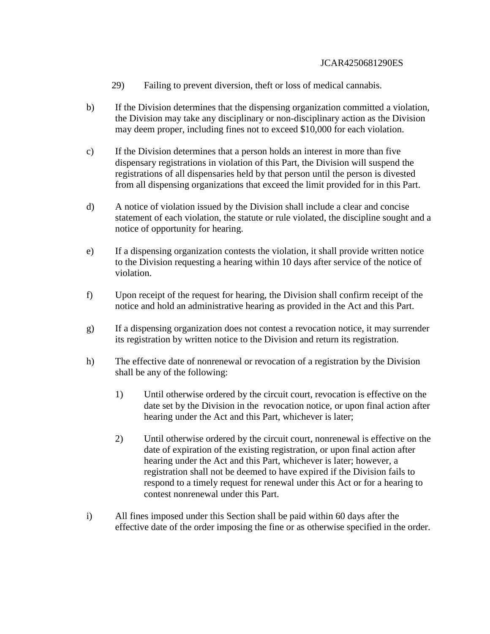- 29) Failing to prevent diversion, theft or loss of medical cannabis.
- b) If the Division determines that the dispensing organization committed a violation, the Division may take any disciplinary or non-disciplinary action as the Division may deem proper, including fines not to exceed \$10,000 for each violation.
- c) If the Division determines that a person holds an interest in more than five dispensary registrations in violation of this Part, the Division will suspend the registrations of all dispensaries held by that person until the person is divested from all dispensing organizations that exceed the limit provided for in this Part.
- d) A notice of violation issued by the Division shall include a clear and concise statement of each violation, the statute or rule violated, the discipline sought and a notice of opportunity for hearing.
- e) If a dispensing organization contests the violation, it shall provide written notice to the Division requesting a hearing within 10 days after service of the notice of violation.
- f) Upon receipt of the request for hearing, the Division shall confirm receipt of the notice and hold an administrative hearing as provided in the Act and this Part.
- g) If a dispensing organization does not contest a revocation notice, it may surrender its registration by written notice to the Division and return its registration.
- h) The effective date of nonrenewal or revocation of a registration by the Division shall be any of the following:
	- 1) Until otherwise ordered by the circuit court, revocation is effective on the date set by the Division in the revocation notice, or upon final action after hearing under the Act and this Part, whichever is later;
	- 2) Until otherwise ordered by the circuit court, nonrenewal is effective on the date of expiration of the existing registration, or upon final action after hearing under the Act and this Part, whichever is later; however, a registration shall not be deemed to have expired if the Division fails to respond to a timely request for renewal under this Act or for a hearing to contest nonrenewal under this Part.
- i) All fines imposed under this Section shall be paid within 60 days after the effective date of the order imposing the fine or as otherwise specified in the order.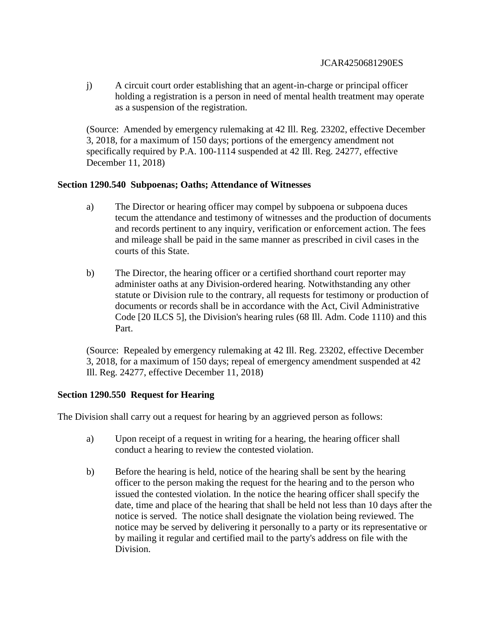j) A circuit court order establishing that an agent-in-charge or principal officer holding a registration is a person in need of mental health treatment may operate as a suspension of the registration.

(Source: Amended by emergency rulemaking at 42 Ill. Reg. 23202, effective December 3, 2018, for a maximum of 150 days; portions of the emergency amendment not specifically required by P.A. 100-1114 suspended at 42 Ill. Reg. 24277, effective December 11, 2018)

## **Section 1290.540 Subpoenas; Oaths; Attendance of Witnesses**

- a) The Director or hearing officer may compel by subpoena or subpoena duces tecum the attendance and testimony of witnesses and the production of documents and records pertinent to any inquiry, verification or enforcement action. The fees and mileage shall be paid in the same manner as prescribed in civil cases in the courts of this State.
- b) The Director, the hearing officer or a certified shorthand court reporter may administer oaths at any Division-ordered hearing. Notwithstanding any other statute or Division rule to the contrary, all requests for testimony or production of documents or records shall be in accordance with the Act, Civil Administrative Code [20 ILCS 5], the Division's hearing rules (68 Ill. Adm. Code 1110) and this Part.

(Source: Repealed by emergency rulemaking at 42 Ill. Reg. 23202, effective December 3, 2018, for a maximum of 150 days; repeal of emergency amendment suspended at 42 Ill. Reg. 24277, effective December 11, 2018)

# **Section 1290.550 Request for Hearing**

The Division shall carry out a request for hearing by an aggrieved person as follows:

- a) Upon receipt of a request in writing for a hearing, the hearing officer shall conduct a hearing to review the contested violation.
- b) Before the hearing is held, notice of the hearing shall be sent by the hearing officer to the person making the request for the hearing and to the person who issued the contested violation. In the notice the hearing officer shall specify the date, time and place of the hearing that shall be held not less than 10 days after the notice is served. The notice shall designate the violation being reviewed. The notice may be served by delivering it personally to a party or its representative or by mailing it regular and certified mail to the party's address on file with the Division.